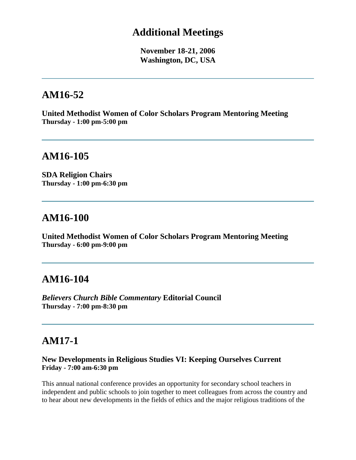### **Additional Meetings**

**November 18-21, 2006 Washington, DC, USA**

# **AM16-52**

**United Methodist Women of Color Scholars Program Mentoring Meeting Thursday - 1:00 pm-5:00 pm**

# **AM16-105**

**SDA Religion Chairs Thursday - 1:00 pm-6:30 pm**

### **AM16-100**

**United Methodist Women of Color Scholars Program Mentoring Meeting Thursday - 6:00 pm-9:00 pm**

## **AM16-104**

*Believers Church Bible Commentary* **Editorial Council Thursday - 7:00 pm-8:30 pm**

# **AM17-1**

#### **New Developments in Religious Studies VI: Keeping Ourselves Current Friday - 7:00 am-6:30 pm**

This annual national conference provides an opportunity for secondary school teachers in independent and public schools to join together to meet colleagues from across the country and to hear about new developments in the fields of ethics and the major religious traditions of the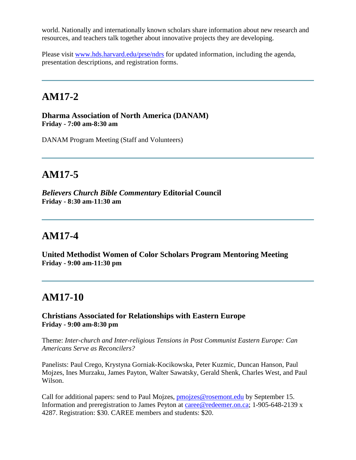world. Nationally and internationally known scholars share information about new research and resources, and teachers talk together about innovative projects they are developing.

Please visit [www.hds.harvard.edu/prse/ndrs](http://www.hds.harvard.edu/prse/ndrs) for updated information, including the agenda, presentation descriptions, and registration forms.

# **AM17-2**

**Dharma Association of North America (DANAM) Friday - 7:00 am-8:30 am**

DANAM Program Meeting (Staff and Volunteers)

# **AM17-5**

*Believers Church Bible Commentary* **Editorial Council Friday - 8:30 am-11:30 am**

## **AM17-4**

**United Methodist Women of Color Scholars Program Mentoring Meeting Friday - 9:00 am-11:30 pm**

# **AM17-10**

**Christians Associated for Relationships with Eastern Europe Friday - 9:00 am-8:30 pm**

Theme: *Inter-church and Inter-religious Tensions in Post Communist Eastern Europe: Can Americans Serve as Reconcilers?*

Panelists: Paul Crego, Krystyna Gorniak-Kocikowska, Peter Kuzmic, Duncan Hanson, Paul Mojzes, Ines Murzaku, James Payton, Walter Sawatsky, Gerald Shenk, Charles West, and Paul Wilson.

Call for additional papers: send to Paul Mojzes, [pmojzes@rosemont.edu](mailto:pmojzes@rosemont.edu) by September 15. Information and preregistration to James Peyton at [caree@redeemer.on.ca;](mailto:caree@redeemer.on.ca) 1-905-648-2139 x 4287. Registration: \$30. CAREE members and students: \$20.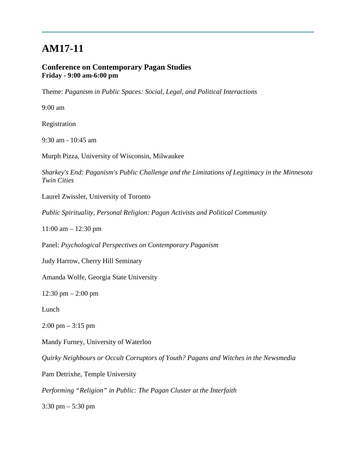#### **Conference on Contemporary Pagan Studies Friday - 9:00 am-6:00 pm**

Theme: *Paganism in Public Spaces: Social, Legal, and Political Interactions*

9:00 am

Registration

9:30 am - 10:45 am

Murph Pizza, University of Wisconsin, Milwaukee

*Sharkey's End: Paganism's Public Challenge and the Limitations of Legitimacy in the Minnesota Twin Cities*

Laurel Zwissler, University of Toronto

*Public Spirituality, Personal Religion: Pagan Activists and Political Community*

11:00 am – 12:30 pm

Panel: *Psychological Perspectives on Contemporary Paganism*

Judy Harrow, Cherry Hill Seminary

Amanda Wolfe, Georgia State University

12:30 pm – 2:00 pm

Lunch

 $2:00 \text{ pm} - 3:15 \text{ pm}$ 

Mandy Furney, University of Waterloo

*Quirky Neighbours or Occult Corruptors of Youth? Pagans and Witches in the Newsmedia*

Pam Detrixhe, Temple University

*Performing "Religion" in Public: The Pagan Cluster at the Interfaith*

3:30 pm – 5:30 pm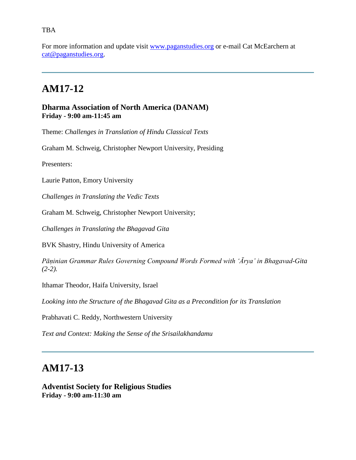#### TBA

For more information and update visit [www.paganstudies.org](http://www.paganstudies.org/) or e-mail Cat McEarchern at [cat@paganstudies.org.](mailto:cat@paganstudies.org)

# **AM17-12**

#### **Dharma Association of North America (DANAM) Friday - 9:00 am-11:45 am**

Theme: *Challenges in Translation of Hindu Classical Texts*

Graham M. Schweig, Christopher Newport University, Presiding

Presenters:

Laurie Patton, Emory University

*Challenges in Translating the Vedic Texts*

Graham M. Schweig, Christopher Newport University;

*Challenges in Translating the Bhagavad Gita* 

BVK Shastry, Hindu University of America

*Pāṇinian Grammar Rules Governing Compound Words Formed with 'Ārya' in Bhagavad-Gita (2-2).* 

Ithamar Theodor, Haifa University, Israel

*Looking into the Structure of the Bhagavad Gita as a Precondition for its Translation*

Prabhavati C. Reddy, Northwestern University

*Text and Context: Making the Sense of the Srisailakhandamu*

### **AM17-13**

**Adventist Society for Religious Studies Friday - 9:00 am-11:30 am**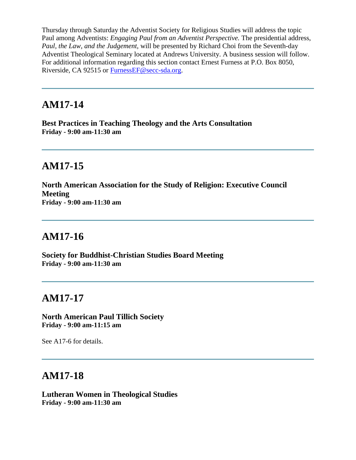Thursday through Saturday the Adventist Society for Religious Studies will address the topic Paul among Adventists: *Engaging Paul from an Adventist Perspective.* The presidential address, *Paul, the Law, and the Judgement*, will be presented by Richard Choi from the Seventh-day Adventist Theological Seminary located at Andrews University. A business session will follow. For additional information regarding this section contact Ernest Furness at P.O. Box 8050, Riverside, CA 92515 or [FurnessEF@secc-sda.org.](mailto:FurnessEF@secc-sda.org)

## **AM17-14**

**Best Practices in Teaching Theology and the Arts Consultation Friday - 9:00 am-11:30 am**

# **AM17-15**

**North American Association for the Study of Religion: Executive Council Meeting Friday - 9:00 am-11:30 am**

# **AM17-16**

**Society for Buddhist-Christian Studies Board Meeting Friday - 9:00 am-11:30 am**

## **AM17-17**

**North American Paul Tillich Society Friday - 9:00 am-11:15 am**

See A17-6 for details.

## **AM17-18**

**Lutheran Women in Theological Studies Friday - 9:00 am-11:30 am**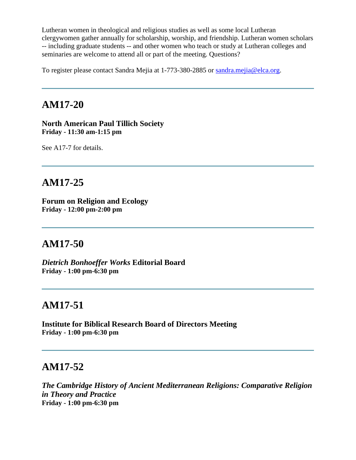Lutheran women in theological and religious studies as well as some local Lutheran clergywomen gather annually for scholarship, worship, and friendship. Lutheran women scholars -- including graduate students -- and other women who teach or study at Lutheran colleges and seminaries are welcome to attend all or part of the meeting. Questions?

To register please contact Sandra Mejia at 1-773-380-2885 or [sandra.mejia@elca.org.](mailto:sandra.mejia@elca.org)

## **AM17-20**

**North American Paul Tillich Society Friday - 11:30 am-1:15 pm**

See A17-7 for details.

### **AM17-25**

**Forum on Religion and Ecology Friday - 12:00 pm-2:00 pm**

### **AM17-50**

*Dietrich Bonhoeffer Works* **Editorial Board Friday - 1:00 pm-6:30 pm**

## **AM17-51**

**Institute for Biblical Research Board of Directors Meeting Friday - 1:00 pm-6:30 pm**

## **AM17-52**

*The Cambridge History of Ancient Mediterranean Religions: Comparative Religion in Theory and Practice* **Friday - 1:00 pm-6:30 pm**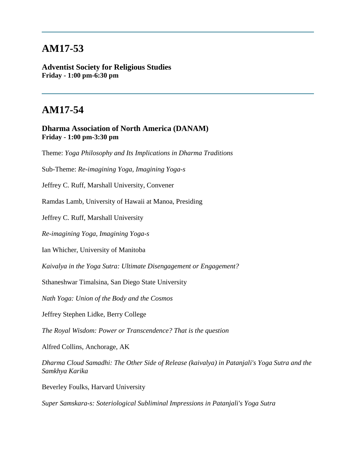**Adventist Society for Religious Studies Friday - 1:00 pm-6:30 pm**

# **AM17-54**

**Dharma Association of North America (DANAM) Friday - 1:00 pm-3:30 pm**

Theme: *Yoga Philosophy and Its Implications in Dharma Traditions*

Sub-Theme: *Re-imagining Yoga, Imagining Yoga-s*

Jeffrey C. Ruff, Marshall University, Convener

Ramdas Lamb, University of Hawaii at Manoa, Presiding

Jeffrey C. Ruff, Marshall University

*Re-imagining Yoga, Imagining Yoga-s*

Ian Whicher, University of Manitoba

*Kaivalya in the Yoga Sutra: Ultimate Disengagement or Engagement?*

Sthaneshwar Timalsina, San Diego State University

*Nath Yoga: Union of the Body and the Cosmos*

Jeffrey Stephen Lidke, Berry College

*The Royal Wisdom: Power or Transcendence? That is the question*

Alfred Collins, Anchorage, AK

*Dharma Cloud Samadhi: The Other Side of Release (kaivalya) in Patanjali's Yoga Sutra and the Samkhya Karika*

Beverley Foulks, Harvard University

*Super Samskara-s: Soteriological Subliminal Impressions in Patanjali's Yoga Sutra*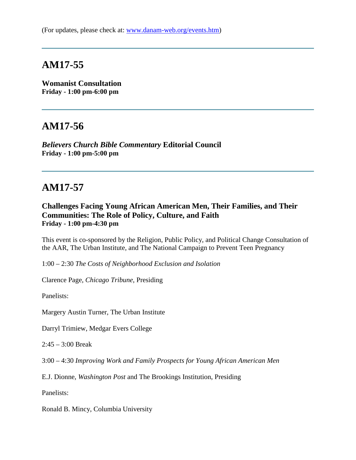**Womanist Consultation Friday - 1:00 pm-6:00 pm**

### **AM17-56**

*Believers Church Bible Commentary* **Editorial Council Friday - 1:00 pm-5:00 pm**

### **AM17-57**

#### **Challenges Facing Young African American Men, Their Families, and Their Communities: The Role of Policy, Culture, and Faith Friday - 1:00 pm-4:30 pm**

This event is co-sponsored by the Religion, Public Policy, and Political Change Consultation of the AAR, The Urban Institute, and The National Campaign to Prevent Teen Pregnancy

1:00 – 2:30 *The Costs of Neighborhood Exclusion and Isolation*

Clarence Page, *Chicago Tribune*, Presiding

Panelists:

Margery Austin Turner, The Urban Institute

Darryl Trimiew, Medgar Evers College

2:45 – 3:00 Break

3:00 – 4:30 *Improving Work and Family Prospects for Young African American Men*

E.J. Dionne, *Washington Post* and The Brookings Institution, Presiding

Panelists:

Ronald B. Mincy, Columbia University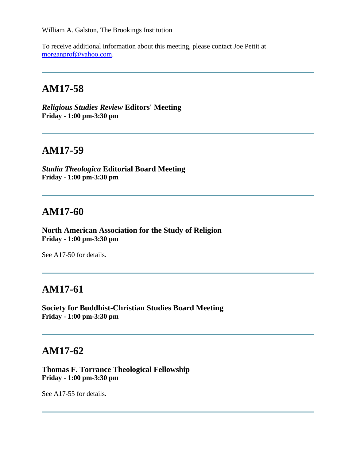William A. Galston, The Brookings Institution

To receive additional information about this meeting, please contact Joe Pettit at [morganprof@yahoo.com.](mailto:morganprof@yahoo.com)

# **AM17-58**

*Religious Studies Review* **Editors' Meeting Friday - 1:00 pm-3:30 pm**

### **AM17-59**

*Studia Theologica* **Editorial Board Meeting Friday - 1:00 pm-3:30 pm**

### **AM17-60**

**North American Association for the Study of Religion Friday - 1:00 pm-3:30 pm**

See A17-50 for details.

# **AM17-61**

**Society for Buddhist-Christian Studies Board Meeting Friday - 1:00 pm-3:30 pm**

### **AM17-62**

**Thomas F. Torrance Theological Fellowship Friday - 1:00 pm-3:30 pm**

See A17-55 for details.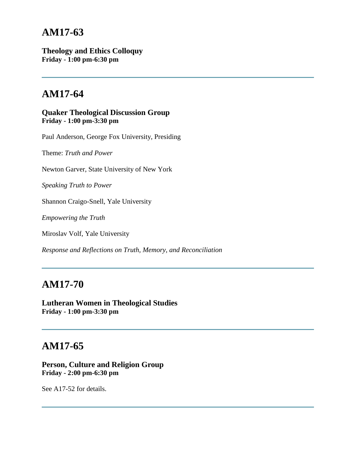**Theology and Ethics Colloquy Friday - 1:00 pm-6:30 pm**

# **AM17-64**

**Quaker Theological Discussion Group Friday - 1:00 pm-3:30 pm**

Paul Anderson, George Fox University, Presiding

Theme: *Truth and Power*

Newton Garver, State University of New York

*Speaking Truth to Power*

Shannon Craigo-Snell, Yale University

*Empowering the Truth*

Miroslav Volf, Yale University

*Response and Reflections on Truth, Memory, and Reconciliation*

# **AM17-70**

**Lutheran Women in Theological Studies Friday - 1:00 pm-3:30 pm**

### **AM17-65**

#### **Person, Culture and Religion Group Friday - 2:00 pm-6:30 pm**

See A17-52 for details.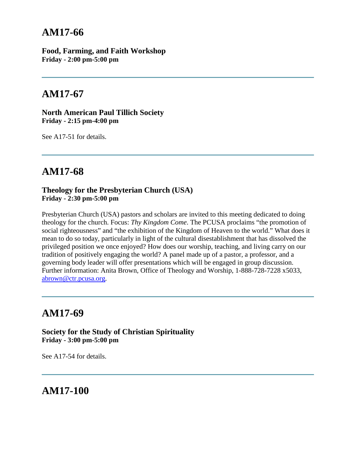**Food, Farming, and Faith Workshop Friday - 2:00 pm-5:00 pm**

# **AM17-67**

**North American Paul Tillich Society Friday - 2:15 pm-4:00 pm**

See A17-51 for details.

# **AM17-68**

#### **Theology for the Presbyterian Church (USA) Friday - 2:30 pm-5:00 pm**

Presbyterian Church (USA) pastors and scholars are invited to this meeting dedicated to doing theology for the church. Focus: *Thy Kingdom Come*. The PCUSA proclaims "the promotion of social righteousness" and "the exhibition of the Kingdom of Heaven to the world." What does it mean to do so today, particularly in light of the cultural disestablishment that has dissolved the privileged position we once enjoyed? How does our worship, teaching, and living carry on our tradition of positively engaging the world? A panel made up of a pastor, a professor, and a governing body leader will offer presentations which will be engaged in group discussion. Further information: Anita Brown, Office of Theology and Worship, 1-888-728-7228 x5033, [abrown@ctr.pcusa.org.](mailto:abrown@ctr.pcusa.org)

## **AM17-69**

**Society for the Study of Christian Spirituality Friday - 3:00 pm-5:00 pm**

See A17-54 for details.

**AM17-100**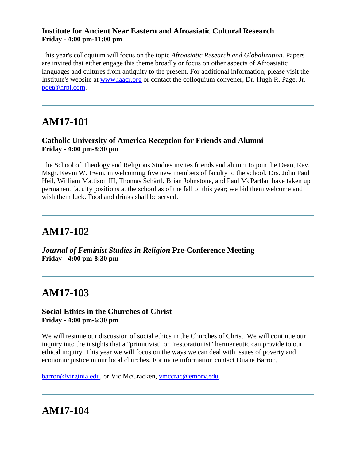#### **Institute for Ancient Near Eastern and Afroasiatic Cultural Research Friday - 4:00 pm-11:00 pm**

This year's colloquium will focus on the topic *Afroasiatic Research and Globalization.* Papers are invited that either engage this theme broadly or focus on other aspects of Afroasiatic languages and cultures from antiquity to the present. For additional information, please visit the Institute's website at [www.iaacr.org](http://www.iaacr.org/) or contact the colloquium convener, Dr. Hugh R. Page, Jr. [poet@hrpj.com.](mailto:poet@hrpj.com)

# **AM17-101**

#### **Catholic University of America Reception for Friends and Alumni Friday - 4:00 pm-8:30 pm**

The School of Theology and Religious Studies invites friends and alumni to join the Dean, Rev. Msgr. Kevin W. Irwin, in welcoming five new members of faculty to the school. Drs. John Paul Heil, William Mattison III, Thomas Schärtl, Brian Johnstone, and Paul McPartlan have taken up permanent faculty positions at the school as of the fall of this year; we bid them welcome and wish them luck. Food and drinks shall be served.

# **AM17-102**

*Journal of Feminist Studies in Religion* **Pre-Conference Meeting Friday - 4:00 pm-8:30 pm**

# **AM17-103**

#### **Social Ethics in the Churches of Christ Friday - 4:00 pm-6:30 pm**

We will resume our discussion of social ethics in the Churches of Christ. We will continue our inquiry into the insights that a "primitivist" or "restorationist" hermeneutic can provide to our ethical inquiry. This year we will focus on the ways we can deal with issues of poverty and economic justice in our local churches. For more information contact Duane Barron,

[barron@virginia.edu,](mailto:barron@virginia.edu) or Vic McCracken, [vmccrac@emory.edu.](mailto:vmccrac@emory.edu)

# **AM17-104**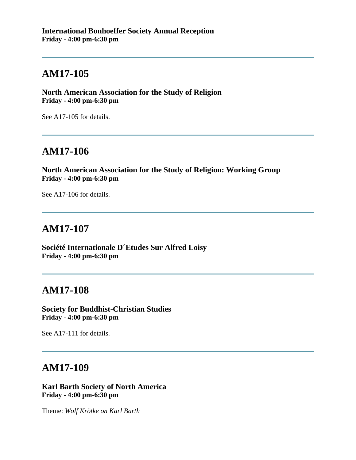**North American Association for the Study of Religion Friday - 4:00 pm-6:30 pm**

See A17-105 for details.

## **AM17-106**

**North American Association for the Study of Religion: Working Group Friday - 4:00 pm-6:30 pm**

See A17-106 for details.

## **AM17-107**

**Société Internationale D´Etudes Sur Alfred Loisy Friday - 4:00 pm-6:30 pm**

## **AM17-108**

**Society for Buddhist-Christian Studies Friday - 4:00 pm-6:30 pm**

See A17-111 for details.

### **AM17-109**

**Karl Barth Society of North America Friday - 4:00 pm-6:30 pm**

Theme: *Wolf Krötke on Karl Barth*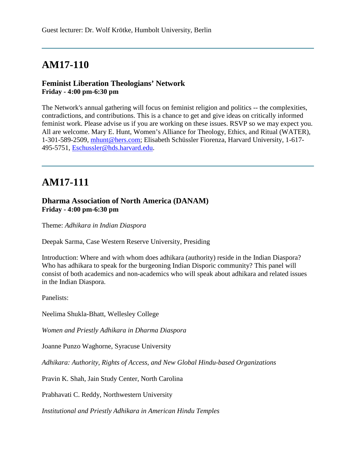#### **Feminist Liberation Theologians' Network Friday - 4:00 pm-6:30 pm**

The Network's annual gathering will focus on feminist religion and politics -- the complexities, contradictions, and contributions. This is a chance to get and give ideas on critically informed feminist work. Please advise us if you are working on these issues. RSVP so we may expect you. All are welcome. Mary E. Hunt, Women's Alliance for Theology, Ethics, and Ritual (WATER), 1-301-589-2509, [mhunt@hers.com;](mailto:mhunt@hers.com) Elisabeth Schüssler Fiorenza, Harvard University, 1-617- 495-5751, [Eschussler@hds.harvard.edu.](mailto:Eschussler@hds.harvard.edu)

# **AM17-111**

#### **Dharma Association of North America (DANAM) Friday - 4:00 pm-6:30 pm**

Theme: *Adhikara in Indian Diaspora*

Deepak Sarma, Case Western Reserve University, Presiding

Introduction: Where and with whom does adhikara (authority) reside in the Indian Diaspora? Who has adhikara to speak for the burgeoning Indian Disporic community? This panel will consist of both academics and non-academics who will speak about adhikara and related issues in the Indian Diaspora.

Panelists:

Neelima Shukla-Bhatt, Wellesley College

*Women and Priestly Adhikara in Dharma Diaspora*

Joanne Punzo Waghorne, Syracuse University

*Adhikara: Authority, Rights of Access, and New Global Hindu-based Organizations*

Pravin K. Shah, Jain Study Center, North Carolina

Prabhavati C. Reddy, Northwestern University

*Institutional and Priestly Adhikara in American Hindu Temples*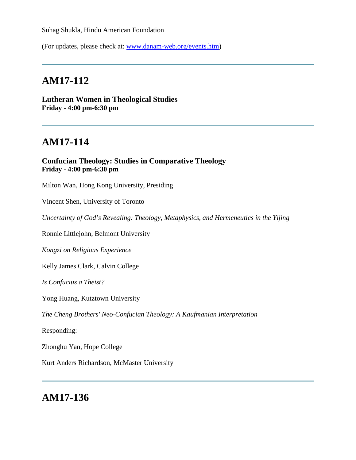Suhag Shukla, Hindu American Foundation

(For updates, please check at: [www.danam-web.org/events.htm\)](http://www.danam-web.org/events.htm)

## **AM17-112**

**Lutheran Women in Theological Studies Friday - 4:00 pm-6:30 pm**

# **AM17-114**

**Confucian Theology: Studies in Comparative Theology Friday - 4:00 pm-6:30 pm**

Milton Wan, Hong Kong University, Presiding

Vincent Shen, University of Toronto

*Uncertainty of God's Revealing: Theology, Metaphysics, and Hermeneutics in the Yijing*

Ronnie Littlejohn, Belmont University

*Kongzi on Religious Experience*

Kelly James Clark, Calvin College

*Is Confucius a Theist?*

Yong Huang, Kutztown University

*The Cheng Brothers' Neo-Confucian Theology: A Kaufmanian Interpretation*

Responding:

Zhonghu Yan, Hope College

Kurt Anders Richardson, McMaster University

### **AM17-136**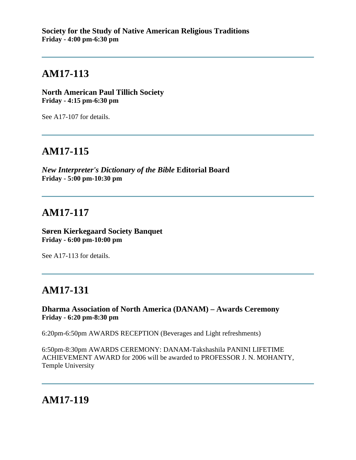**North American Paul Tillich Society Friday - 4:15 pm-6:30 pm**

See A17-107 for details.

# **AM17-115**

*New Interpreter's Dictionary of the Bible* **Editorial Board Friday - 5:00 pm-10:30 pm**

# **AM17-117**

**Søren Kierkegaard Society Banquet Friday - 6:00 pm-10:00 pm**

See A17-113 for details.

# **AM17-131**

**Dharma Association of North America (DANAM) – Awards Ceremony Friday - 6:20 pm-8:30 pm**

6:20pm-6:50pm AWARDS RECEPTION (Beverages and Light refreshments)

6:50pm-8:30pm AWARDS CEREMONY: DANAM-Takshashila PANINI LIFETIME ACHIEVEMENT AWARD for 2006 will be awarded to PROFESSOR J. N. MOHANTY, Temple University

# **AM17-119**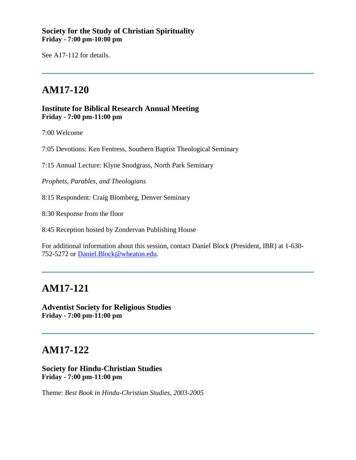#### **Society for the Study of Christian Spirituality Friday - 7:00 pm-10:00 pm**

See A17-112 for details.

# **AM17-120**

#### **Institute for Biblical Research Annual Meeting Friday - 7:00 pm-11:00 pm**

7:00 Welcome

7:05 Devotions: Ken Fentress, Southern Baptist Theological Seminary

7:15 Annual Lecture: Klyne Snodgrass, North Park Seminary

*Prophets, Parables, and Theologians*

8:15 Respondent: Craig Blomberg, Denver Seminary

8:30 Response from the floor

8:45 Reception hosted by Zondervan Publishing House

For additional information about this session, contact Daniel Block (President, IBR) at 1-630- 752-5272 or [Daniel.Block@wheaton.edu.](mailto:Daniel.Block@wheaton.edu)

### **AM17-121**

**Adventist Society for Religious Studies Friday - 7:00 pm-11:00 pm**

## **AM17-122**

**Society for Hindu-Christian Studies Friday - 7:00 pm-11:00 pm**

Theme: *Best Book in Hindu-Christian Studies, 2003-2005*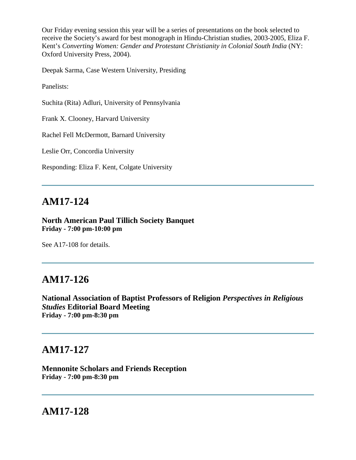Our Friday evening session this year will be a series of presentations on the book selected to receive the Society's award for best monograph in Hindu-Christian studies, 2003-2005, Eliza F. Kent's *Converting Women: Gender and Protestant Christianity in Colonial South India* (NY: Oxford University Press, 2004).

Deepak Sarma, Case Western University, Presiding

Panelists:

Suchita (Rita) Adluri, University of Pennsylvania

Frank X. Clooney, Harvard University

Rachel Fell McDermott, Barnard University

Leslie Orr, Concordia University

Responding: Eliza F. Kent, Colgate University

### **AM17-124**

#### **North American Paul Tillich Society Banquet Friday - 7:00 pm-10:00 pm**

See A17-108 for details.

### **AM17-126**

**National Association of Baptist Professors of Religion** *Perspectives in Religious Studies* **Editorial Board Meeting Friday - 7:00 pm-8:30 pm**

### **AM17-127**

**Mennonite Scholars and Friends Reception Friday - 7:00 pm-8:30 pm**

### **AM17-128**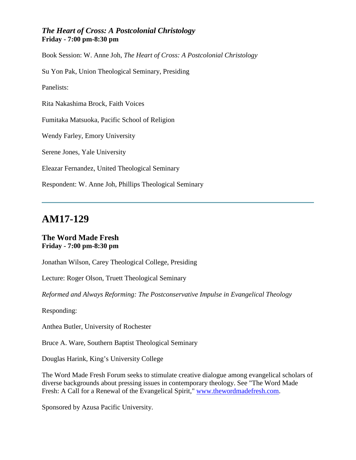#### *The Heart of Cross: A Postcolonial Christology* **Friday - 7:00 pm-8:30 pm**

Book Session: W. Anne Joh, *The Heart of Cross: A Postcolonial Christology* Su Yon Pak, Union Theological Seminary, Presiding Panelists: Rita Nakashima Brock, Faith Voices Fumitaka Matsuoka, Pacific School of Religion Wendy Farley, Emory University Serene Jones, Yale University Eleazar Fernandez, United Theological Seminary Respondent: W. Anne Joh, Phillips Theological Seminary

# **AM17-129**

#### **The Word Made Fresh Friday - 7:00 pm-8:30 pm**

Jonathan Wilson, Carey Theological College, Presiding

Lecture: Roger Olson, Truett Theological Seminary

*Reformed and Always Reforming: The Postconservative Impulse in Evangelical Theology*

Responding:

Anthea Butler, University of Rochester

Bruce A. Ware, Southern Baptist Theological Seminary

Douglas Harink, King's University College

The Word Made Fresh Forum seeks to stimulate creative dialogue among evangelical scholars of diverse backgrounds about pressing issues in contemporary theology. See "The Word Made Fresh: A Call for a Renewal of the Evangelical Spirit," [www.thewordmadefresh.com.](http://www.thewordmadefresh.com/)

Sponsored by Azusa Pacific University.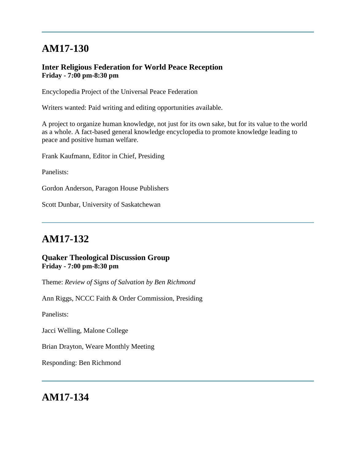#### **Inter Religious Federation for World Peace Reception Friday - 7:00 pm-8:30 pm**

Encyclopedia Project of the Universal Peace Federation

Writers wanted: Paid writing and editing opportunities available.

A project to organize human knowledge, not just for its own sake, but for its value to the world as a whole. A fact-based general knowledge encyclopedia to promote knowledge leading to peace and positive human welfare.

Frank Kaufmann, Editor in Chief, Presiding

Panelists:

Gordon Anderson, Paragon House Publishers

Scott Dunbar, University of Saskatchewan

# **AM17-132**

#### **Quaker Theological Discussion Group Friday - 7:00 pm-8:30 pm**

Theme: *Review of Signs of Salvation by Ben Richmond*

Ann Riggs, NCCC Faith & Order Commission, Presiding

Panelists:

Jacci Welling, Malone College

Brian Drayton, Weare Monthly Meeting

Responding: Ben Richmond

### **AM17-134**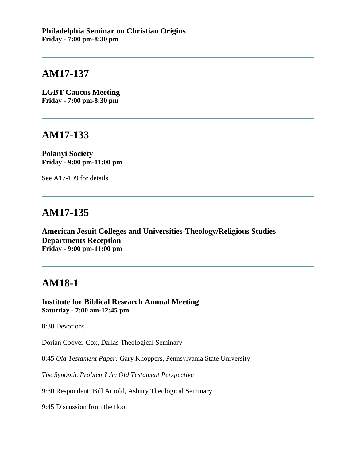**LGBT Caucus Meeting Friday - 7:00 pm-8:30 pm**

### **AM17-133**

**Polanyi Society Friday - 9:00 pm-11:00 pm**

See A17-109 for details.

# **AM17-135**

**American Jesuit Colleges and Universities-Theology/Religious Studies Departments Reception Friday - 9:00 pm-11:00 pm**

## **AM18-1**

**Institute for Biblical Research Annual Meeting Saturday - 7:00 am-12:45 pm**

8:30 Devotions

Dorian Coover-Cox, Dallas Theological Seminary

8:45 *Old Testament Paper:* Gary Knoppers, Pennsylvania State University

*The Synoptic Problem? An Old Testament Perspective*

9:30 Respondent: Bill Arnold, Asbury Theological Seminary

9:45 Discussion from the floor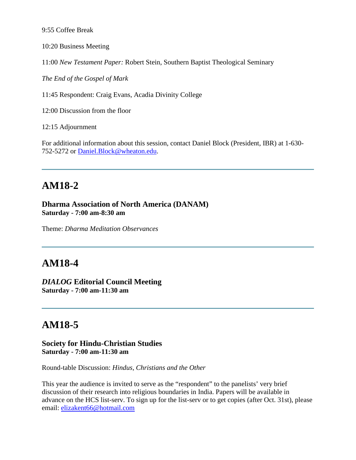9:55 Coffee Break

10:20 Business Meeting

11:00 *New Testament Paper:* Robert Stein, Southern Baptist Theological Seminary

*The End of the Gospel of Mark*

11:45 Respondent: Craig Evans, Acadia Divinity College

12:00 Discussion from the floor

12:15 Adjournment

For additional information about this session, contact Daniel Block (President, IBR) at 1-630- 752-5272 or [Daniel.Block@wheaton.edu.](mailto:Daniel.Block@wheaton.edu)

# **AM18-2**

**Dharma Association of North America (DANAM) Saturday - 7:00 am-8:30 am**

Theme: *Dharma Meditation Observances*

## **AM18-4**

*DIALOG* **Editorial Council Meeting Saturday - 7:00 am-11:30 am**

# **AM18-5**

#### **Society for Hindu-Christian Studies Saturday - 7:00 am-11:30 am**

Round-table Discussion: *Hindus, Christians and the Other*

This year the audience is invited to serve as the "respondent" to the panelists' very brief discussion of their research into religious boundaries in India. Papers will be available in advance on the HCS list-serv. To sign up for the list-serv or to get copies (after Oct. 31st), please email: [elizakent66@hotmail.com](mailto:elizakent66@hotmail.com)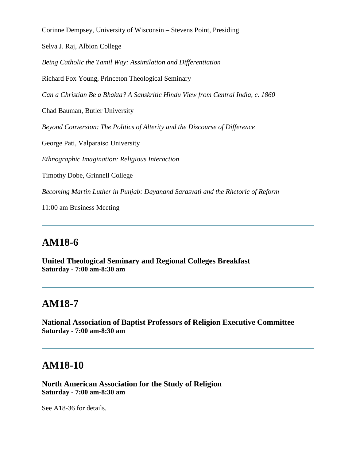Corinne Dempsey, University of Wisconsin – Stevens Point, Presiding

Selva J. Raj, Albion College

*Being Catholic the Tamil Way: Assimilation and Differentiation*

Richard Fox Young, Princeton Theological Seminary

*Can a Christian Be a Bhakta? A Sanskritic Hindu View from Central India, c. 1860*

Chad Bauman, Butler University

*Beyond Conversion: The Politics of Alterity and the Discourse of Difference*

George Pati, Valparaiso University

*Ethnographic Imagination: Religious Interaction*

Timothy Dobe, Grinnell College

*Becoming Martin Luther in Punjab: Dayanand Sarasvati and the Rhetoric of Reform*

11:00 am Business Meeting

## **AM18-6**

**United Theological Seminary and Regional Colleges Breakfast Saturday - 7:00 am-8:30 am**

## **AM18-7**

**National Association of Baptist Professors of Religion Executive Committee Saturday - 7:00 am-8:30 am**

#### **AM18-10**

**North American Association for the Study of Religion Saturday - 7:00 am-8:30 am**

See A18-36 for details.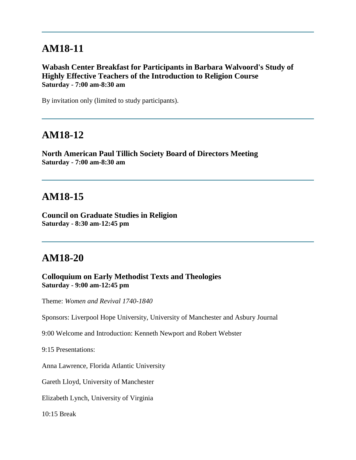### **AM18-11**

**Wabash Center Breakfast for Participants in Barbara Walvoord's Study of Highly Effective Teachers of the Introduction to Religion Course Saturday - 7:00 am-8:30 am**

By invitation only (limited to study participants).

#### **AM18-12**

**North American Paul Tillich Society Board of Directors Meeting Saturday - 7:00 am-8:30 am**

### **AM18-15**

**Council on Graduate Studies in Religion Saturday - 8:30 am-12:45 pm**

### **AM18-20**

**Colloquium on Early Methodist Texts and Theologies Saturday - 9:00 am-12:45 pm**

Theme: *Women and Revival 1740-1840*

Sponsors: Liverpool Hope University, University of Manchester and Asbury Journal

9:00 Welcome and Introduction: Kenneth Newport and Robert Webster

9:15 Presentations:

Anna Lawrence, Florida Atlantic University

Gareth Lloyd, University of Manchester

Elizabeth Lynch, University of Virginia

10:15 Break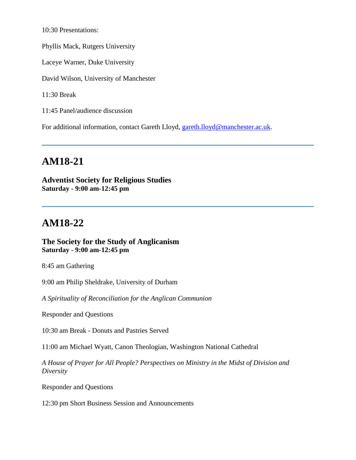10:30 Presentations:

Phyllis Mack, Rutgers University

Laceye Warner, Duke University

David Wilson, University of Manchester

11:30 Break

11:45 Panel/audience discussion

For additional information, contact Gareth Lloyd, [gareth.lloyd@manchester.ac.uk.](mailto:gareth.lloyd@manchester.ac.uk)

# **AM18-21**

**Adventist Society for Religious Studies Saturday - 9:00 am-12:45 pm**

# **AM18-22**

**The Society for the Study of Anglicanism Saturday - 9:00 am-12:45 pm**

8:45 am Gathering

9:00 am Philip Sheldrake, University of Durham

*A Spirituality of Reconciliation for the Anglican Communion*

Responder and Questions

10:30 am Break - Donuts and Pastries Served

11:00 am Michael Wyatt, Canon Theologian, Washington National Cathedral

*A House of Prayer for All People? Perspectives on Ministry in the Midst of Division and Diversity*

Responder and Questions

12:30 pm Short Business Session and Announcements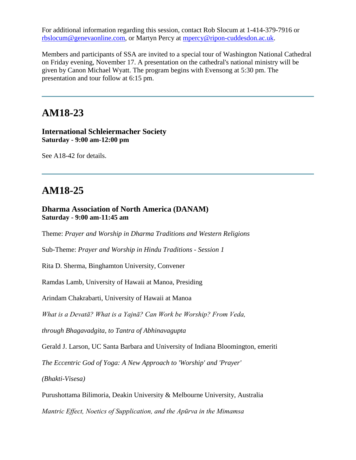For additional information regarding this session, contact Rob Slocum at 1-414-379-7916 or [rbslocum@genevaonline.com,](mailto:rbslocum@genevaonline.com) or Martyn Percy at [mpercy@ripon-cuddesdon.ac.uk.](mailto:mpercy@ripon-cuddesdon.ac.uk)

Members and participants of SSA are invited to a special tour of Washington National Cathedral on Friday evening, November 17. A presentation on the cathedral's national ministry will be given by Canon Michael Wyatt. The program begins with Evensong at 5:30 pm. The presentation and tour follow at 6:15 pm.

# **AM18-23**

#### **International Schleiermacher Society Saturday - 9:00 am-12:00 pm**

See A18-42 for details.

# **AM18-25**

#### **Dharma Association of North America (DANAM) Saturday - 9:00 am-11:45 am**

Theme: *Prayer and Worship in Dharma Traditions and Western Religions* 

Sub-Theme: *Prayer and Worship in Hindu Traditions - Session 1*

Rita D. Sherma, Binghamton University, Convener

Ramdas Lamb, University of Hawaii at Manoa, Presiding

Arindam Chakrabarti, University of Hawaii at Manoa

*What is a Devatā? What is a Yajnā? Can Work be Worship? From Veda,* 

*through Bhagavadgita, to Tantra of Abhinavagupta* 

Gerald J. Larson, UC Santa Barbara and University of Indiana Bloomington, emeriti

*The Eccentric God of Yoga: A New Approach to 'Worship' and 'Prayer'* 

*(Bhakti-Visesa)*

Purushottama Bilimoria, Deakin University & Melbourne University, Australia

*Mantric Effect, Noetics of Supplication, and the Apūrva in the Mimamsa*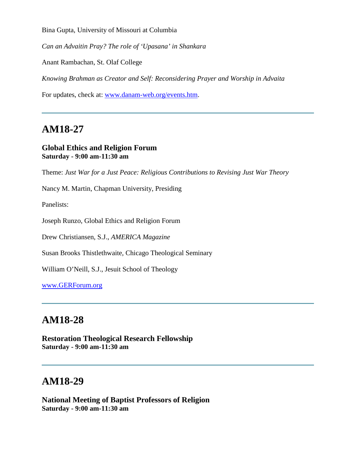Bina Gupta, University of Missouri at Columbia

*Can an Advaitin Pray? The role of 'Upasana' in Shankara*

Anant Rambachan, St. Olaf College

*Knowing Brahman as Creator and Self: Reconsidering Prayer and Worship in Advaita* 

For updates, check at: [www.danam-web.org/events.htm.](http://www.danam-web.org/events.htm)

## **AM18-27**

#### **Global Ethics and Religion Forum Saturday - 9:00 am-11:30 am**

Theme: *Just War for a Just Peace: Religious Contributions to Revising Just War Theory*

Nancy M. Martin, Chapman University, Presiding

Panelists:

Joseph Runzo, Global Ethics and Religion Forum

Drew Christiansen, S.J., *AMERICA Magazine*

Susan Brooks Thistlethwaite, Chicago Theological Seminary

William O'Neill, S.J., Jesuit School of Theology

[www.GERForum.org](http://www.gerforum.org/)

## **AM18-28**

**Restoration Theological Research Fellowship Saturday - 9:00 am-11:30 am**

# **AM18-29**

**National Meeting of Baptist Professors of Religion Saturday - 9:00 am-11:30 am**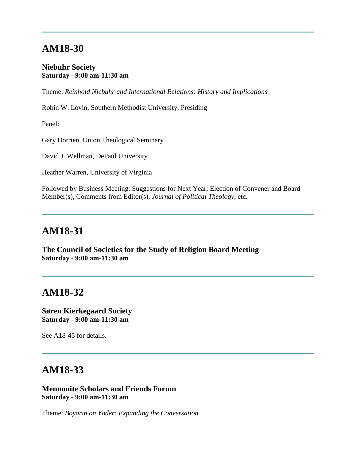### **AM18-30**

#### **Niebuhr Society Saturday - 9:00 am-11:30 am**

Theme: *Reinhold Niebuhr and International Relations: History and Implications*

Robin W. Lovin, Southern Methodist University, Presiding

Panel:

Gary Dorrien, Union Theological Seminary

David J. Wellman, DePaul University

Heather Warren, University of Virginia

Followed by Business Meeting: Suggestions for Next Year; Election of Convener and Board Member(s), Comments from Editor(s), *Journal of Political Theology*, etc.

#### **AM18-31**

**The Council of Societies for the Study of Religion Board Meeting Saturday - 9:00 am-11:30 am**

### **AM18-32**

**Søren Kierkegaard Society Saturday - 9:00 am-11:30 am**

See A18-45 for details.

### **AM18-33**

**Mennonite Scholars and Friends Forum Saturday - 9:00 am-11:30 am**

Theme: *Boyarin on Yoder: Expanding the Conversation*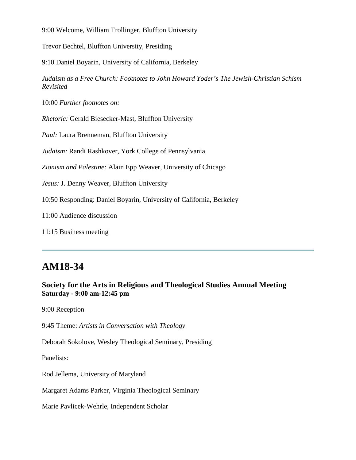9:00 Welcome, William Trollinger, Bluffton University

Trevor Bechtel, Bluffton University, Presiding

9:10 Daniel Boyarin, University of California, Berkeley

*Judaism as a Free Church: Footnotes to John Howard Yoder's The Jewish-Christian Schism Revisited*

10:00 *Further footnotes on:*

*Rhetoric:* Gerald Biesecker-Mast, Bluffton University

*Paul:* Laura Brenneman, Bluffton University

*Judaism:* Randi Rashkover, York College of Pennsylvania

*Zionism and Palestine:* Alain Epp Weaver, University of Chicago

*Jesus:* J. Denny Weaver, Bluffton University

10:50 Responding: Daniel Boyarin, University of California, Berkeley

11:00 Audience discussion

11:15 Business meeting

# **AM18-34**

#### **Society for the Arts in Religious and Theological Studies Annual Meeting Saturday - 9:00 am-12:45 pm**

9:00 Reception

9:45 Theme: *Artists in Conversation with Theology*

Deborah Sokolove, Wesley Theological Seminary, Presiding

Panelists:

Rod Jellema, University of Maryland

Margaret Adams Parker, Virginia Theological Seminary

Marie Pavlicek-Wehrle, Independent Scholar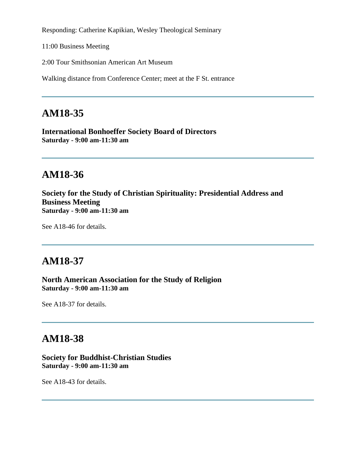Responding: Catherine Kapikian, Wesley Theological Seminary

11:00 Business Meeting

2:00 Tour Smithsonian American Art Museum

Walking distance from Conference Center; meet at the F St. entrance

# **AM18-35**

**International Bonhoeffer Society Board of Directors Saturday - 9:00 am-11:30 am**

# **AM18-36**

**Society for the Study of Christian Spirituality: Presidential Address and Business Meeting Saturday - 9:00 am-11:30 am**

See A18-46 for details.

# **AM18-37**

**North American Association for the Study of Religion Saturday - 9:00 am-11:30 am**

See A18-37 for details.

## **AM18-38**

#### **Society for Buddhist-Christian Studies Saturday - 9:00 am-11:30 am**

See A18-43 for details.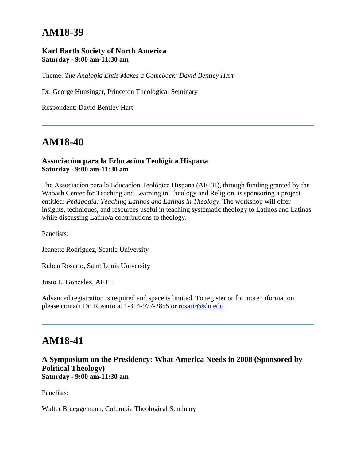# **AM18-39**

#### **Karl Barth Society of North America Saturday - 9:00 am-11:30 am**

Theme: *The Analogia Entis Makes a Comeback: David Bentley Hart*

Dr. George Hunsinger, Princeton Theological Seminary

Respondent: David Bentley Hart

# **AM18-40**

#### **Associacíon para la Educacíon Teológica Hispana Saturday - 9:00 am-11:30 am**

The Associacíon para la Educacíon Teológica Hispana (AETH), through funding granted by the Wabash Center for Teaching and Learning in Theology and Religion, is sponsoring a project entitled: *Pedagogía: Teaching Latinos and Latinas in Theology*. The workshop will offer insights, techniques, and resources useful in teaching systematic theology to Latinos and Latinas while discussing Latino/a contributions to theology.

Panelists:

Jeanette Rodriguez, Seattle University

Ruben Rosario, Saint Louis University

Justo L. Gonzalez, AETH

Advanced registration is required and space is limited. To register or for more information, please contact Dr. Rosario at 1-314-977-2855 or [rosarir@slu.edu.](mailto:rosarir@slu.edu)

### **AM18-41**

**A Symposium on the Presidency: What America Needs in 2008 (Sponsored by Political Theology) Saturday - 9:00 am-11:30 am**

Panelists:

Walter Brueggemann, Columbia Theological Seminary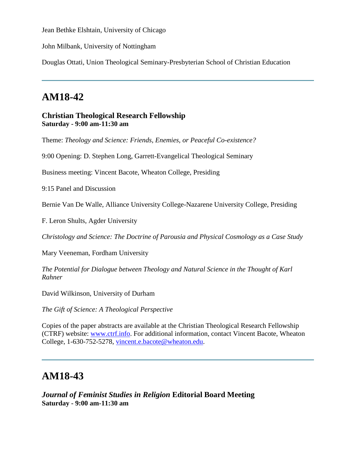Jean Bethke Elshtain, University of Chicago

John Milbank, University of Nottingham

Douglas Ottati, Union Theological Seminary-Presbyterian School of Christian Education

# **AM18-42**

**Christian Theological Research Fellowship Saturday - 9:00 am-11:30 am**

Theme: *Theology and Science: Friends, Enemies, or Peaceful Co-existence?*

9:00 Opening: D. Stephen Long, Garrett-Evangelical Theological Seminary

Business meeting: Vincent Bacote, Wheaton College, Presiding

9:15 Panel and Discussion

Bernie Van De Walle, Alliance University College-Nazarene University College, Presiding

F. Leron Shults, Agder University

*Christology and Science: The Doctrine of Parousia and Physical Cosmology as a Case Study*

Mary Veeneman, Fordham University

*The Potential for Dialogue between Theology and Natural Science in the Thought of Karl Rahner*

David Wilkinson, University of Durham

*The Gift of Science: A Theological Perspective*

Copies of the paper abstracts are available at the Christian Theological Research Fellowship (CTRF) website: [www.ctrf.info.](http://www.ctrf.info/) For additional information, contact Vincent Bacote, Wheaton College, 1-630-752-5278, [vincent.e.bacote@wheaton.edu.](mailto:vincent.e.bacote@wheaton.edu)

# **AM18-43**

*Journal of Feminist Studies in Religion* **Editorial Board Meeting Saturday - 9:00 am-11:30 am**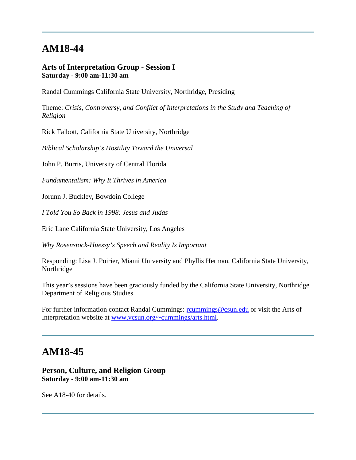# **AM18-44**

#### **Arts of Interpretation Group - Session I Saturday - 9:00 am-11:30 am**

Randal Cummings California State University, Northridge, Presiding

Theme: *Crisis, Controversy, and Conflict of Interpretations in the Study and Teaching of Religion*

Rick Talbott, California State University, Northridge

*Biblical Scholarship's Hostility Toward the Universal*

John P. Burris, University of Central Florida

*Fundamentalism: Why It Thrives in America*

Jorunn J. Buckley, Bowdoin College

*I Told You So Back in 1998: Jesus and Judas*

Eric Lane California State University, Los Angeles

*Why Rosenstock-Huessy's Speech and Reality Is Important*

Responding: Lisa J. Poirier, Miami University and Phyllis Herman, California State University, Northridge

This year's sessions have been graciously funded by the California State University, Northridge Department of Religious Studies.

For further information contact Randal Cummings: rolumnings@csun.edu or visit the Arts of Interpretation website at [www.vcsun.org/~cummings/arts.html.](http://www.vcsun.org/~cummings/arts.html)

## **AM18-45**

#### **Person, Culture, and Religion Group Saturday - 9:00 am-11:30 am**

See A18-40 for details.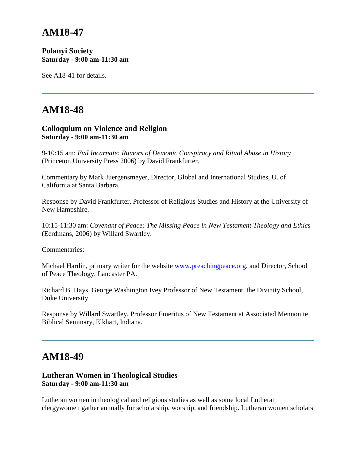# **AM18-47**

#### **Polanyi Society Saturday - 9:00 am-11:30 am**

See A18-41 for details.

# **AM18-48**

#### **Colloquium on Violence and Religion Saturday - 9:00 am-11:30 am**

9-10:15 am: *Evil Incarnate: Rumors of Demonic Conspiracy and Ritual Abuse in History* (Princeton University Press 2006) by David Frankfurter.

Commentary by Mark Juergensmeyer, Director, Global and International Studies, U. of California at Santa Barbara.

Response by David Frankfurter, Professor of Religious Studies and History at the University of New Hampshire.

10:15-11:30 am: *Covenant of Peace: The Missing Peace in New Testament Theology and Ethics* (Eerdmans, 2006) by Willard Swartley.

Commentaries:

Michael Hardin, primary writer for the website [www.preachingpeace.org,](http://www.preachingpeace.org/) and Director, School of Peace Theology, Lancaster PA.

Richard B. Hays, George Washington Ivey Professor of New Testament, the Divinity School, Duke University.

Response by Willard Swartley, Professor Emeritus of New Testament at Associated Mennonite Biblical Seminary, Elkhart, Indiana.

### **AM18-49**

#### **Lutheran Women in Theological Studies Saturday - 9:00 am-11:30 am**

Lutheran women in theological and religious studies as well as some local Lutheran clergywomen gather annually for scholarship, worship, and friendship. Lutheran women scholars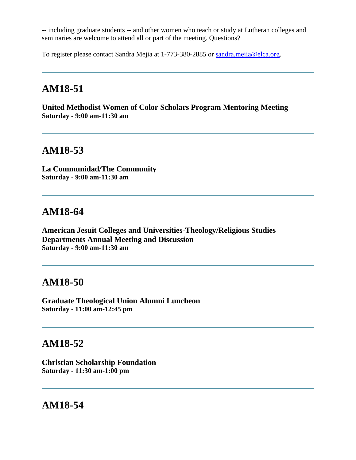-- including graduate students -- and other women who teach or study at Lutheran colleges and seminaries are welcome to attend all or part of the meeting. Questions?

To register please contact Sandra Mejia at 1-773-380-2885 or [sandra.mejia@elca.org.](mailto:sandra.mejia@elca.org)

# **AM18-51**

**United Methodist Women of Color Scholars Program Mentoring Meeting Saturday - 9:00 am-11:30 am**

## **AM18-53**

**La Communidad/The Community Saturday - 9:00 am-11:30 am**

### **AM18-64**

**American Jesuit Colleges and Universities-Theology/Religious Studies Departments Annual Meeting and Discussion Saturday - 9:00 am-11:30 am**

### **AM18-50**

**Graduate Theological Union Alumni Luncheon Saturday - 11:00 am-12:45 pm**

### **AM18-52**

**Christian Scholarship Foundation Saturday - 11:30 am-1:00 pm**

### **AM18-54**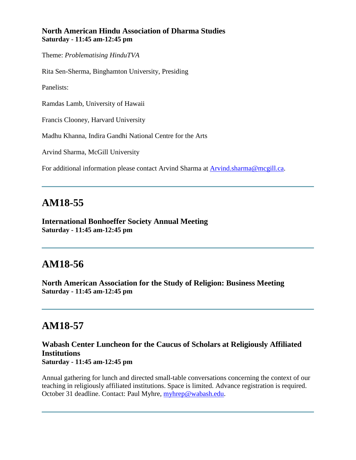#### **North American Hindu Association of Dharma Studies Saturday - 11:45 am-12:45 pm**

Theme: *Problematising HinduTVA*

Rita Sen-Sherma, Binghamton University, Presiding

Panelists:

Ramdas Lamb, University of Hawaii

Francis Clooney, Harvard University

Madhu Khanna, Indira Gandhi National Centre for the Arts

Arvind Sharma, McGill University

For additional information please contact Arvind Sharma at [Arvind.sharma@mcgill.ca.](mailto:Arvind.sharma@mcgill.ca)

### **AM18-55**

**International Bonhoeffer Society Annual Meeting Saturday - 11:45 am-12:45 pm**

## **AM18-56**

**North American Association for the Study of Religion: Business Meeting Saturday - 11:45 am-12:45 pm**

## **AM18-57**

#### **Wabash Center Luncheon for the Caucus of Scholars at Religiously Affiliated Institutions Saturday - 11:45 am-12:45 pm**

Annual gathering for lunch and directed small-table conversations concerning the context of our teaching in religiously affiliated institutions. Space is limited. Advance registration is required. October 31 deadline. Contact: Paul Myhre, [myhrep@wabash.edu.](mailto:myhrep@wabash.edu)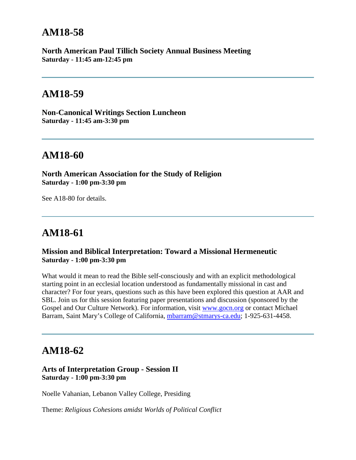### **AM18-58**

**North American Paul Tillich Society Annual Business Meeting Saturday - 11:45 am-12:45 pm**

### **AM18-59**

**Non-Canonical Writings Section Luncheon Saturday - 11:45 am-3:30 pm**

## **AM18-60**

**North American Association for the Study of Religion Saturday - 1:00 pm-3:30 pm**

See A18-80 for details.

# **AM18-61**

#### **Mission and Biblical Interpretation: Toward a Missional Hermeneutic Saturday - 1:00 pm-3:30 pm**

What would it mean to read the Bible self-consciously and with an explicit methodological starting point in an ecclesial location understood as fundamentally missional in cast and character? For four years, questions such as this have been explored this question at AAR and SBL. Join us for this session featuring paper presentations and discussion (sponsored by the Gospel and Our Culture Network). For information, visit [www.gocn.org](http://www.gocn.org/) or contact Michael Barram, Saint Mary's College of California, [mbarram@stmarys-ca.edu;](mailto:mbarram@stmarys-ca.edu) 1-925-631-4458.

### **AM18-62**

#### **Arts of Interpretation Group - Session II Saturday - 1:00 pm-3:30 pm**

Noelle Vahanian, Lebanon Valley College, Presiding

Theme: *Religious Cohesions amidst Worlds of Political Conflict*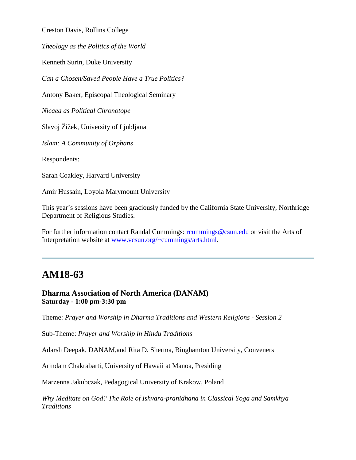Creston Davis, Rollins College

*Theology as the Politics of the World*

Kenneth Surin, Duke University

*Can a Chosen/Saved People Have a True Politics?*

Antony Baker, Episcopal Theological Seminary

*Nicaea as Political Chronotope*

Slavoj Žižek, University of Ljubljana

*Islam: A Community of Orphans*

Respondents:

Sarah Coakley, Harvard University

Amir Hussain, Loyola Marymount University

This year's sessions have been graciously funded by the California State University, Northridge Department of Religious Studies.

For further information contact Randal Cummings: rolumnings@csun.edu or visit the Arts of Interpretation website at [www.vcsun.org/~cummings/arts.html.](http://www.vcsun.org/~cummings/arts.html)

### **AM18-63**

#### **Dharma Association of North America (DANAM) Saturday - 1:00 pm-3:30 pm**

Theme: *Prayer and Worship in Dharma Traditions and Western Religions - Session 2*

Sub-Theme: *Prayer and Worship in Hindu Traditions* 

Adarsh Deepak, DANAM,and Rita D. Sherma, Binghamton University, Conveners

Arindam Chakrabarti, University of Hawaii at Manoa, Presiding

Marzenna Jakubczak, Pedagogical University of Krakow, Poland

*Why Meditate on God? The Role of Ishvara-pranidhana in Classical Yoga and Samkhya Traditions*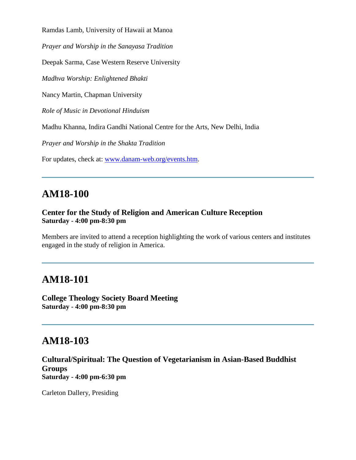Ramdas Lamb, University of Hawaii at Manoa

*Prayer and Worship in the Sanayasa Tradition* 

Deepak Sarma, Case Western Reserve University

*Madhva Worship: Enlightened Bhakti*

Nancy Martin, Chapman University

*Role of Music in Devotional Hinduism*

Madhu Khanna, Indira Gandhi National Centre for the Arts, New Delhi, India

*Prayer and Worship in the Shakta Tradition*

For updates, check at: [www.danam-web.org/events.htm.](http://www.danam-web.org/events.htm)

## **AM18-100**

#### **Center for the Study of Religion and American Culture Reception Saturday - 4:00 pm-8:30 pm**

Members are invited to attend a reception highlighting the work of various centers and institutes engaged in the study of religion in America.

## **AM18-101**

**College Theology Society Board Meeting Saturday - 4:00 pm-8:30 pm**

## **AM18-103**

**Cultural/Spiritual: The Question of Vegetarianism in Asian-Based Buddhist Groups Saturday - 4:00 pm-6:30 pm**

Carleton Dallery, Presiding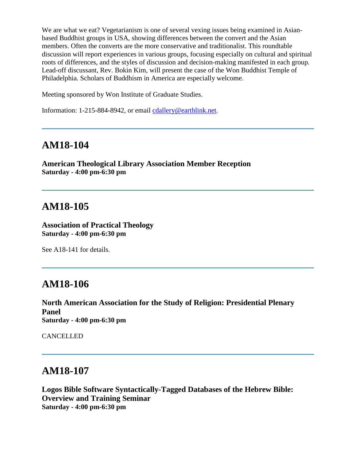We are what we eat? Vegetarianism is one of several vexing issues being examined in Asianbased Buddhist groups in USA, showing differences between the convert and the Asian members. Often the converts are the more conservative and traditionalist. This roundtable discussion will report experiences in various groups, focusing especially on cultural and spiritual roots of differences, and the styles of discussion and decision-making manifested in each group. Lead-off discussant, Rev. Bokin Kim, will present the case of the Won Buddhist Temple of Philadelphia. Scholars of Buddhism in America are especially welcome.

Meeting sponsored by Won Institute of Graduate Studies.

Information: 1-215-884-8942, or email [cdallery@earthlink.net.](mailto:cdallery@earthlink.net)

### **AM18-104**

**American Theological Library Association Member Reception Saturday - 4:00 pm-6:30 pm**

### **AM18-105**

**Association of Practical Theology Saturday - 4:00 pm-6:30 pm**

See A18-141 for details.

### **AM18-106**

**North American Association for the Study of Religion: Presidential Plenary Panel Saturday - 4:00 pm-6:30 pm**

CANCELLED

### **AM18-107**

**Logos Bible Software Syntactically-Tagged Databases of the Hebrew Bible: Overview and Training Seminar Saturday - 4:00 pm-6:30 pm**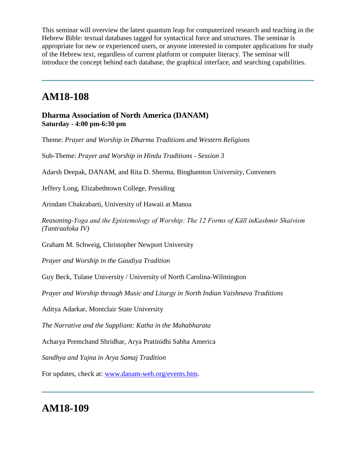This seminar will overview the latest quantum leap for computerized research and teaching in the Hebrew Bible: textual databases tagged for syntactical force and structures. The seminar is appropriate for new or experienced users, or anyone interested in computer applications for study of the Hebrew text, regardless of current platform or computer literacy. The seminar will introduce the concept behind each database, the graphical interface, and searching capabilities.

## **AM18-108**

**Dharma Association of North America (DANAM) Saturday - 4:00 pm-6:30 pm**

Theme: *Prayer and Worship in Dharma Traditions and Western Religions* 

Sub-Theme: *Prayer and Worship in Hindu Traditions - Session 3*

Adarsh Deepak, DANAM, and Rita D. Sherma, Binghamton University, Conveners

Jeffery Long, Elizabethtown College, Presiding

Arindam Chakrabarti, University of Hawaii at Manoa

*Reasoning-Yoga and the Epistemology of Worship: The 12 Forms of Kālī inKashmir Shaivism (Tantraaloka IV)*

Graham M. Schweig, Christopher Newport University

*Prayer and Worship in the Gaudiya Tradition* 

Guy Beck, Tulane University / University of North Carolina-Wilmington

*Prayer and Worship through Music and Liturgy in North Indian Vaishnava Traditions* 

Aditya Adarkar, Montclair State University

*The Narrative and the Suppliant: Katha in the Mahabharata* 

Acharya Premchand Shridhar, Arya Pratinidhi Sabha America

*Sandhya and Yajna in Arya Samaj Tradition*

For updates, check at: [www.danam-web.org/events.htm.](http://www.danam-web.org/events.htm)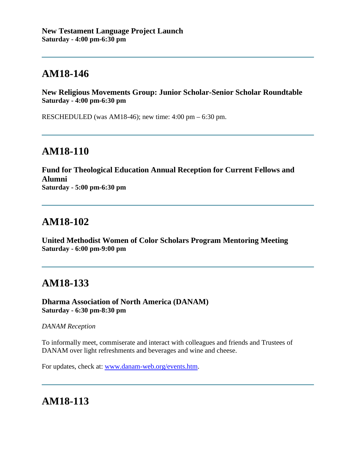# **AM18-146**

**New Religious Movements Group: Junior Scholar-Senior Scholar Roundtable Saturday - 4:00 pm-6:30 pm**

RESCHEDULED (was AM18-46); new time: 4:00 pm – 6:30 pm.

# **AM18-110**

**Fund for Theological Education Annual Reception for Current Fellows and Alumni Saturday - 5:00 pm-6:30 pm**

## **AM18-102**

**United Methodist Women of Color Scholars Program Mentoring Meeting Saturday - 6:00 pm-9:00 pm**

## **AM18-133**

**Dharma Association of North America (DANAM) Saturday - 6:30 pm-8:30 pm**

#### *DANAM Reception*

To informally meet, commiserate and interact with colleagues and friends and Trustees of DANAM over light refreshments and beverages and wine and cheese.

For updates, check at: [www.danam-web.org/events.htm.](http://www.danam-web.org/events.htm)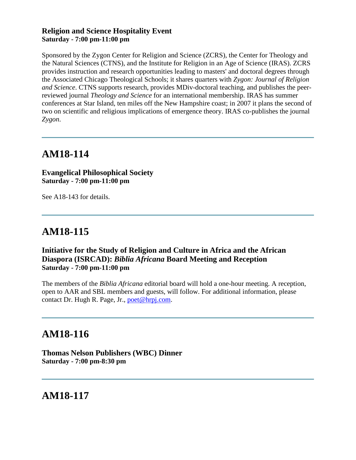#### **Religion and Science Hospitality Event Saturday - 7:00 pm-11:00 pm**

Sponsored by the Zygon Center for Religion and Science (ZCRS), the Center for Theology and the Natural Sciences (CTNS), and the Institute for Religion in an Age of Science (IRAS). ZCRS provides instruction and research opportunities leading to masters' and doctoral degrees through the Associated Chicago Theological Schools; it shares quarters with *Zygon: Journal of Religion and Science*. CTNS supports research, provides MDiv-doctoral teaching, and publishes the peerreviewed journal *Theology and Science* for an international membership. IRAS has summer conferences at Star Island, ten miles off the New Hampshire coast; in 2007 it plans the second of two on scientific and religious implications of emergence theory. IRAS co-publishes the journal *Zygon*.

## **AM18-114**

#### **Evangelical Philosophical Society Saturday - 7:00 pm-11:00 pm**

See A18-143 for details.

# **AM18-115**

#### **Initiative for the Study of Religion and Culture in Africa and the African Diaspora (ISRCAD):** *Biblia Africana* **Board Meeting and Reception Saturday - 7:00 pm-11:00 pm**

The members of the *Biblia Africana* editorial board will hold a one-hour meeting. A reception, open to AAR and SBL members and guests, will follow. For additional information, please contact Dr. Hugh R. Page, Jr., [poet@hrpj.com.](mailto:poet@hrpj.com)

# **AM18-116**

**Thomas Nelson Publishers (WBC) Dinner Saturday - 7:00 pm-8:30 pm**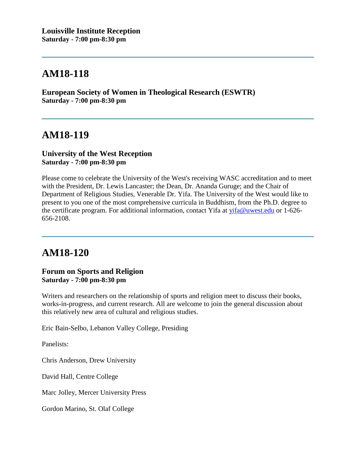# **AM18-118**

**European Society of Women in Theological Research (ESWTR) Saturday - 7:00 pm-8:30 pm**

## **AM18-119**

#### **University of the West Reception Saturday - 7:00 pm-8:30 pm**

Please come to celebrate the University of the West's receiving WASC accreditation and to meet with the President, Dr. Lewis Lancaster; the Dean, Dr. Ananda Guruge; and the Chair of Department of Religious Studies, Venerable Dr. Yifa. The University of the West would like to present to you one of the most comprehensive curricula in Buddhism, from the Ph.D. degree to the certificate program. For additional information, contact Yifa at [yifa@uwest.edu](mailto:yifa@uwest.edu) or 1-626-656-2108.

# **AM18-120**

#### **Forum on Sports and Religion Saturday - 7:00 pm-8:30 pm**

Writers and researchers on the relationship of sports and religion meet to discuss their books, works-in-progress, and current research. All are welcome to join the general discussion about this relatively new area of cultural and religious studies.

Eric Bain-Selbo, Lebanon Valley College, Presiding

Panelists:

Chris Anderson, Drew University

David Hall, Centre College

Marc Jolley, Mercer University Press

Gordon Marino, St. Olaf College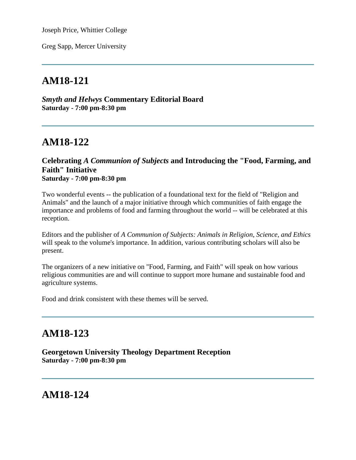Joseph Price, Whittier College

Greg Sapp, Mercer University

# **AM18-121**

*Smyth and Helwys* **Commentary Editorial Board Saturday - 7:00 pm-8:30 pm**

# **AM18-122**

#### **Celebrating** *A Communion of Subjects* **and Introducing the "Food, Farming, and Faith" Initiative Saturday - 7:00 pm-8:30 pm**

Two wonderful events -- the publication of a foundational text for the field of "Religion and Animals" and the launch of a major initiative through which communities of faith engage the importance and problems of food and farming throughout the world -- will be celebrated at this reception.

Editors and the publisher of *A Communion of Subjects: Animals in Religion, Science, and Ethics* will speak to the volume's importance. In addition, various contributing scholars will also be present.

The organizers of a new initiative on "Food, Farming, and Faith" will speak on how various religious communities are and will continue to support more humane and sustainable food and agriculture systems.

Food and drink consistent with these themes will be served.

# **AM18-123**

**Georgetown University Theology Department Reception Saturday - 7:00 pm-8:30 pm**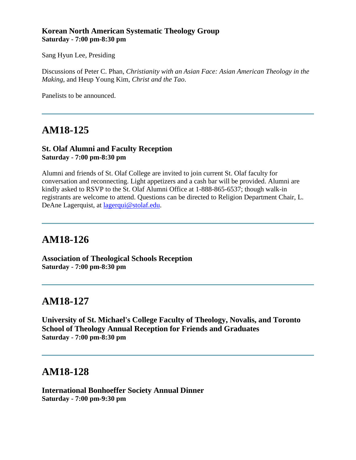#### **Korean North American Systematic Theology Group Saturday - 7:00 pm-8:30 pm**

Sang Hyun Lee, Presiding

Discussions of Peter C. Phan, *Christianity with an Asian Face: Asian American Theology in the Making*, and Heup Young Kim, *Christ and the Tao*.

Panelists to be announced.

## **AM18-125**

#### **St. Olaf Alumni and Faculty Reception Saturday - 7:00 pm-8:30 pm**

Alumni and friends of St. Olaf College are invited to join current St. Olaf faculty for conversation and reconnecting. Light appetizers and a cash bar will be provided. Alumni are kindly asked to RSVP to the St. Olaf Alumni Office at 1-888-865-6537; though walk-in registrants are welcome to attend. Questions can be directed to Religion Department Chair, L. DeAne Lagerquist, at [lagerqui@stolaf.edu.](mailto:lagerqui@stolaf.edu)

## **AM18-126**

**Association of Theological Schools Reception Saturday - 7:00 pm-8:30 pm**

### **AM18-127**

**University of St. Michael's College Faculty of Theology, Novalis, and Toronto School of Theology Annual Reception for Friends and Graduates Saturday - 7:00 pm-8:30 pm**

## **AM18-128**

**International Bonhoeffer Society Annual Dinner Saturday - 7:00 pm-9:30 pm**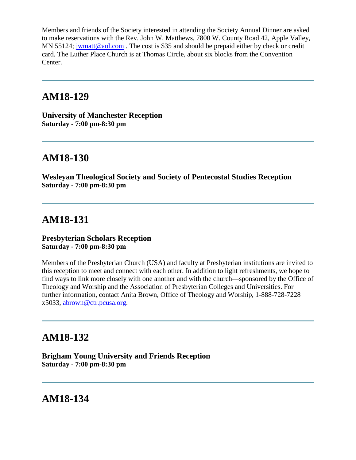Members and friends of the Society interested in attending the Society Annual Dinner are asked to make reservations with the Rev. John W. Matthews, 7800 W. County Road 42, Apple Valley, MN 55124; [jwmatt@aol.com](mailto:jwmatt@aol.com). The cost is \$35 and should be prepaid either by check or credit card. The Luther Place Church is at Thomas Circle, about six blocks from the Convention Center.

### **AM18-129**

**University of Manchester Reception Saturday - 7:00 pm-8:30 pm**

## **AM18-130**

**Wesleyan Theological Society and Society of Pentecostal Studies Reception Saturday - 7:00 pm-8:30 pm**

# **AM18-131**

#### **Presbyterian Scholars Reception Saturday - 7:00 pm-8:30 pm**

Members of the Presbyterian Church (USA) and faculty at Presbyterian institutions are invited to this reception to meet and connect with each other. In addition to light refreshments, we hope to find ways to link more closely with one another and with the church—sponsored by the Office of Theology and Worship and the Association of Presbyterian Colleges and Universities. For further information, contact Anita Brown, Office of Theology and Worship, 1-888-728-7228 x5033, [abrown@ctr.pcusa.org.](mailto:abrown@ctr.pcusa.org)

## **AM18-132**

**Brigham Young University and Friends Reception Saturday - 7:00 pm-8:30 pm**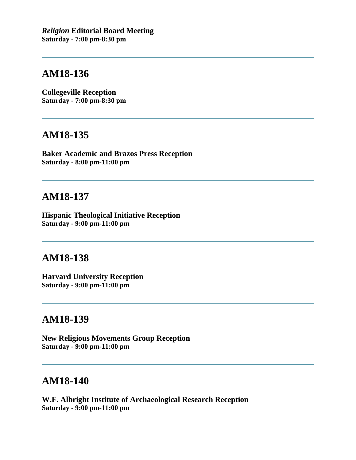## **AM18-136**

**Collegeville Reception Saturday - 7:00 pm-8:30 pm**

### **AM18-135**

**Baker Academic and Brazos Press Reception Saturday - 8:00 pm-11:00 pm**

## **AM18-137**

**Hispanic Theological Initiative Reception Saturday - 9:00 pm-11:00 pm**

### **AM18-138**

**Harvard University Reception Saturday - 9:00 pm-11:00 pm**

## **AM18-139**

**New Religious Movements Group Reception Saturday - 9:00 pm-11:00 pm**

# **AM18-140**

**W.F. Albright Institute of Archaeological Research Reception Saturday - 9:00 pm-11:00 pm**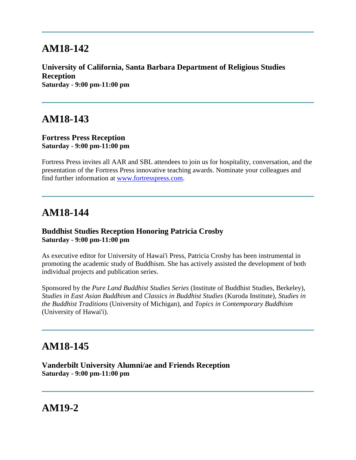## **AM18-142**

**University of California, Santa Barbara Department of Religious Studies Reception Saturday - 9:00 pm-11:00 pm**

### **AM18-143**

#### **Fortress Press Reception Saturday - 9:00 pm-11:00 pm**

Fortress Press invites all AAR and SBL attendees to join us for hospitality, conversation, and the presentation of the Fortress Press innovative teaching awards. Nominate your colleagues and find further information at [www.fortresspress.com.](http://www.fortresspress.com/)

## **AM18-144**

#### **Buddhist Studies Reception Honoring Patricia Crosby Saturday - 9:00 pm-11:00 pm**

As executive editor for University of Hawai'i Press, Patricia Crosby has been instrumental in promoting the academic study of Buddhism. She has actively assisted the development of both individual projects and publication series.

Sponsored by the *Pure Land Buddhist Studies Series* (Institute of Buddhist Studies, Berkeley), *Studies in East Asian Buddhism* and *Classics in Buddhist Studies* (Kuroda Institute), *Studies in the Buddhist Traditions* (University of Michigan), and *Topics in Contemporary Buddhism* (University of Hawai'i).

## **AM18-145**

**Vanderbilt University Alumni/ae and Friends Reception Saturday - 9:00 pm-11:00 pm**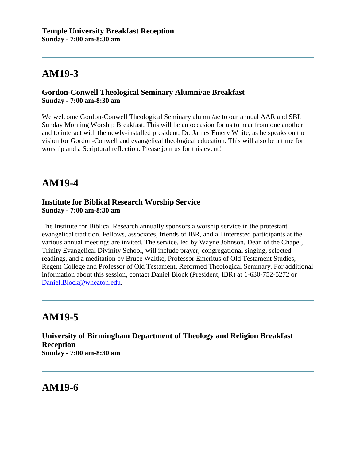#### **Gordon-Conwell Theological Seminary Alumni/ae Breakfast Sunday - 7:00 am-8:30 am**

We welcome Gordon-Conwell Theological Seminary alumni/ae to our annual AAR and SBL Sunday Morning Worship Breakfast. This will be an occasion for us to hear from one another and to interact with the newly-installed president, Dr. James Emery White, as he speaks on the vision for Gordon-Conwell and evangelical theological education. This will also be a time for worship and a Scriptural reflection. Please join us for this event!

# **AM19-4**

#### **Institute for Biblical Research Worship Service Sunday - 7:00 am-8:30 am**

The Institute for Biblical Research annually sponsors a worship service in the protestant evangelical tradition. Fellows, associates, friends of IBR, and all interested participants at the various annual meetings are invited. The service, led by Wayne Johnson, Dean of the Chapel, Trinity Evangelical Divinity School, will include prayer, congregational singing, selected readings, and a meditation by Bruce Waltke, Professor Emeritus of Old Testament Studies, Regent College and Professor of Old Testament, Reformed Theological Seminary. For additional information about this session, contact Daniel Block (President, IBR) at 1-630-752-5272 or [Daniel.Block@wheaton.edu.](mailto:Daniel.Block@wheaton.edu)

# **AM19-5**

**University of Birmingham Department of Theology and Religion Breakfast Reception Sunday - 7:00 am-8:30 am**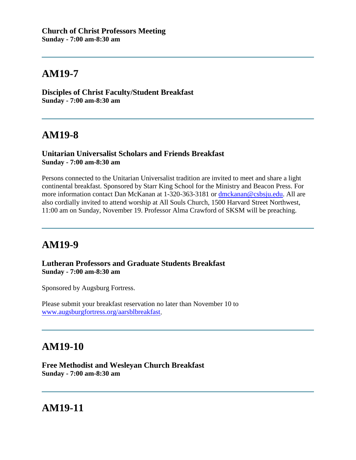**Disciples of Christ Faculty/Student Breakfast Sunday - 7:00 am-8:30 am**

## **AM19-8**

#### **Unitarian Universalist Scholars and Friends Breakfast Sunday - 7:00 am-8:30 am**

Persons connected to the Unitarian Universalist tradition are invited to meet and share a light continental breakfast. Sponsored by Starr King School for the Ministry and Beacon Press. For more information contact Dan McKanan at 1-320-363-3181 or [dmckanan@csbsju.edu.](mailto:dmckanan@csbsju.edu) All are also cordially invited to attend worship at All Souls Church, 1500 Harvard Street Northwest, 11:00 am on Sunday, November 19. Professor Alma Crawford of SKSM will be preaching.

## **AM19-9**

**Lutheran Professors and Graduate Students Breakfast Sunday - 7:00 am-8:30 am**

Sponsored by Augsburg Fortress.

Please submit your breakfast reservation no later than November 10 to [www.augsburgfortress.org/aarsblbreakfast.](http://www.augsburgfortress.org/aarsblbreakfast)

## **AM19-10**

**Free Methodist and Wesleyan Church Breakfast Sunday - 7:00 am-8:30 am**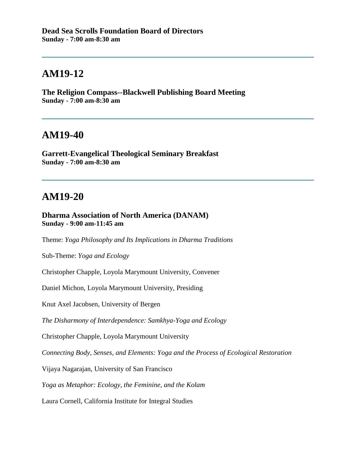**The Religion Compass--Blackwell Publishing Board Meeting Sunday - 7:00 am-8:30 am**

#### **AM19-40**

**Garrett-Evangelical Theological Seminary Breakfast Sunday - 7:00 am-8:30 am**

### **AM19-20**

**Dharma Association of North America (DANAM) Sunday - 9:00 am-11:45 am**

Theme: *Yoga Philosophy and Its Implications in Dharma Traditions*

Sub-Theme: *Yoga and Ecology*

Christopher Chapple, Loyola Marymount University, Convener

Daniel Michon, Loyola Marymount University, Presiding

Knut Axel Jacobsen, University of Bergen

*The Disharmony of Interdependence: Samkhya-Yoga and Ecology*

Christopher Chapple, Loyola Marymount University

*Connecting Body, Senses, and Elements: Yoga and the Process of Ecological Restoration*

Vijaya Nagarajan, University of San Francisco

*Yoga as Metaphor: Ecology, the Feminine, and the Kolam* 

Laura Cornell, California Institute for Integral Studies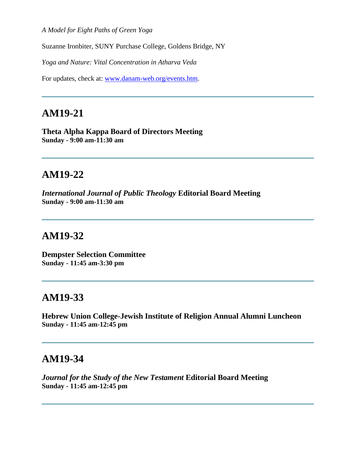*A Model for Eight Paths of Green Yoga* 

Suzanne Ironbiter, SUNY Purchase College, Goldens Bridge, NY

*Yoga and Nature: Vital Concentration in Atharva Veda*

For updates, check at: [www.danam-web.org/events.htm.](http://www.danam-web.org/events.htm)

## **AM19-21**

**Theta Alpha Kappa Board of Directors Meeting Sunday - 9:00 am-11:30 am**

## **AM19-22**

*International Journal of Public Theology* **Editorial Board Meeting Sunday - 9:00 am-11:30 am**

#### **AM19-32**

**Dempster Selection Committee Sunday - 11:45 am-3:30 pm**

#### **AM19-33**

**Hebrew Union College-Jewish Institute of Religion Annual Alumni Luncheon Sunday - 11:45 am-12:45 pm**

#### **AM19-34**

*Journal for the Study of the New Testament* **Editorial Board Meeting Sunday - 11:45 am-12:45 pm**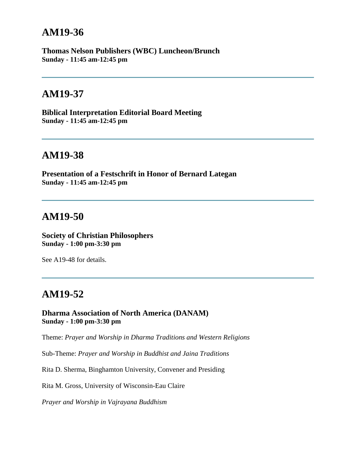**Thomas Nelson Publishers (WBC) Luncheon/Brunch Sunday - 11:45 am-12:45 pm**

### **AM19-37**

**Biblical Interpretation Editorial Board Meeting Sunday - 11:45 am-12:45 pm**

## **AM19-38**

**Presentation of a Festschrift in Honor of Bernard Lategan Sunday - 11:45 am-12:45 pm**

### **AM19-50**

**Society of Christian Philosophers Sunday - 1:00 pm-3:30 pm**

See A19-48 for details.

## **AM19-52**

**Dharma Association of North America (DANAM) Sunday - 1:00 pm-3:30 pm**

Theme: *Prayer and Worship in Dharma Traditions and Western Religions*

Sub-Theme: *Prayer and Worship in Buddhist and Jaina Traditions* 

Rita D. Sherma, Binghamton University, Convener and Presiding

Rita M. Gross, University of Wisconsin-Eau Claire

*Prayer and Worship in Vajrayana Buddhism*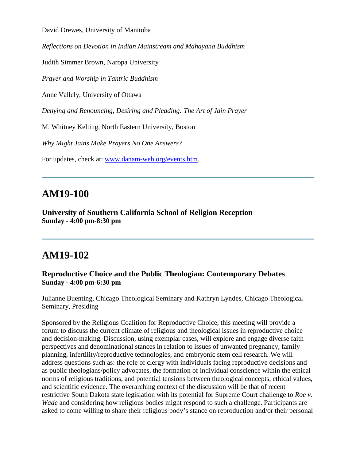David Drewes, University of Manitoba

*Reflections on Devotion in Indian Mainstream and Mahayana Buddhism*

Judith Simmer Brown, Naropa University

*Prayer and Worship in Tantric Buddhism* 

Anne Vallely, University of Ottawa

*Denying and Renouncing, Desiring and Pleading: The Art of Jain Prayer*

M. Whitney Kelting, North Eastern University, Boston

*Why Might Jains Make Prayers No One Answers?*

For updates, check at: [www.danam-web.org/events.htm.](http://www.danam-web.org/events.htm)

### **AM19-100**

**University of Southern California School of Religion Reception Sunday - 4:00 pm-8:30 pm**

### **AM19-102**

#### **Reproductive Choice and the Public Theologian: Contemporary Debates Sunday - 4:00 pm-6:30 pm**

Julianne Buenting, Chicago Theological Seminary and Kathryn Lyndes, Chicago Theological Seminary, Presiding

Sponsored by the Religious Coalition for Reproductive Choice, this meeting will provide a forum to discuss the current climate of religious and theological issues in reproductive choice and decision-making. Discussion, using exemplar cases, will explore and engage diverse faith perspectives and denominational stances in relation to issues of unwanted pregnancy, family planning, infertility/reproductive technologies, and embryonic stem cell research. We will address questions such as: the role of clergy with individuals facing reproductive decisions and as public theologians/policy advocates, the formation of individual conscience within the ethical norms of religious traditions, and potential tensions between theological concepts, ethical values, and scientific evidence. The overarching context of the discussion will be that of recent restrictive South Dakota state legislation with its potential for Supreme Court challenge to *Roe v. Wade* and considering how religious bodies might respond to such a challenge. Participants are asked to come willing to share their religious body's stance on reproduction and/or their personal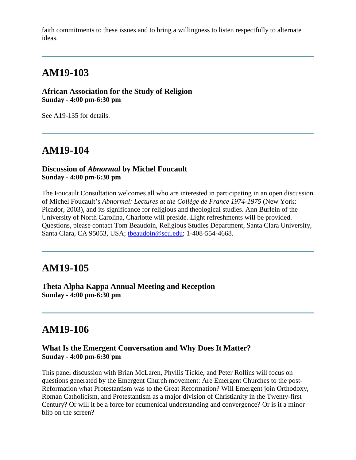faith commitments to these issues and to bring a willingness to listen respectfully to alternate ideas.

## **AM19-103**

**African Association for the Study of Religion Sunday - 4:00 pm-6:30 pm**

See A19-135 for details.

## **AM19-104**

#### **Discussion of** *Abnormal* **by Michel Foucault Sunday - 4:00 pm-6:30 pm**

The Foucault Consultation welcomes all who are interested in participating in an open discussion of Michel Foucault's *Abnormal: Lectures at the Collège de France 1974-1975* (New York: Picador, 2003), and its significance for religious and theological studies. Ann Burlein of the University of North Carolina, Charlotte will preside. Light refreshments will be provided. Questions, please contact Tom Beaudoin, Religious Studies Department, Santa Clara University, Santa Clara, CA 95053, USA; [tbeaudoin@scu.edu;](mailto:tbeaudoin@scu.edu) 1-408-554-4668.

### **AM19-105**

**Theta Alpha Kappa Annual Meeting and Reception Sunday - 4:00 pm-6:30 pm**

## **AM19-106**

#### **What Is the Emergent Conversation and Why Does It Matter? Sunday - 4:00 pm-6:30 pm**

This panel discussion with Brian McLaren, Phyllis Tickle, and Peter Rollins will focus on questions generated by the Emergent Church movement: Are Emergent Churches to the post-Reformation what Protestantism was to the Great Reformation? Will Emergent join Orthodoxy, Roman Catholicism, and Protestantism as a major division of Christianity in the Twenty-first Century? Or will it be a force for ecumenical understanding and convergence? Or is it a minor blip on the screen?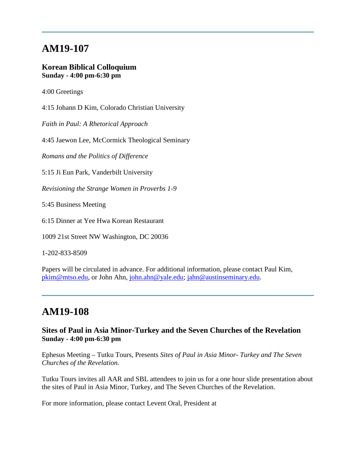#### **Korean Biblical Colloquium Sunday - 4:00 pm-6:30 pm**

4:00 Greetings

4:15 Johann D Kim, Colorado Christian University

*Faith in Paul: A Rhetorical Approach*

4:45 Jaewon Lee, McCormick Theological Seminary

*Romans and the Politics of Difference*

5:15 Ji Eun Park, Vanderbilt University

*Revisioning the Strange Women in Proverbs 1-9*

5:45 Business Meeting

6:15 Dinner at Yee Hwa Korean Restaurant

1009 21st Street NW Washington, DC 20036

1-202-833-8509

Papers will be circulated in advance. For additional information, please contact Paul Kim, [pkim@mtso.edu,](mailto:pkim@mtso.edu) or John Ahn, [john.ahn@yale.edu;](mailto:john.ahn@yale.edu) [jahn@austinseminary.edu.](mailto:jahn@austinseminary.edu)

## **AM19-108**

#### **Sites of Paul in Asia Minor-Turkey and the Seven Churches of the Revelation Sunday - 4:00 pm-6:30 pm**

Ephesus Meeting – Tutku Tours, Presents *Sites of Paul in Asia Minor- Turkey and The Seven Churches of the Revelation.*

Tutku Tours invites all AAR and SBL attendees to join us for a one hour slide presentation about the sites of Paul in Asia Minor, Turkey, and The Seven Churches of the Revelation.

For more information, please contact Levent Oral, President at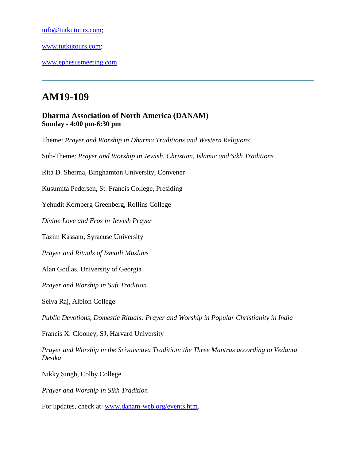[info@tutkutours.com;](mailto:info@tutkutours.com)

[www.tutkutours.com;](http://www.tutkutours.com/)

[www.ephesusmeeting.com.](http://www.ephesusmeeting.com/)

# **AM19-109**

#### **Dharma Association of North America (DANAM) Sunday - 4:00 pm-6:30 pm**

Theme: *Prayer and Worship in Dharma Traditions and Western Religions* 

Sub-Theme: *Prayer and Worship in Jewish, Christian, Islamic and Sikh Traditions*

Rita D. Sherma, Binghamton University, Convener

Kusumita Pedersen, St. Francis College, Presiding

Yehudit Kornberg Greenberg, Rollins College

*Divine Love and Eros in Jewish Prayer* 

Tazim Kassam, Syracuse University

*Prayer and Rituals of Ismaili Muslims* 

Alan Godlas, University of Georgia

*Prayer and Worship in Sufi Tradition*

Selva Raj, Albion College

*Public Devotions, Domestic Rituals: Prayer and Worship in Popular Christianity in India*

Francis X. Clooney, SJ, Harvard University

*Prayer and Worship in the Srivaisnava Tradition: the Three Mantras according to Vedanta Desika*

Nikky Singh, Colby College

*Prayer and Worship in Sikh Tradition*

For updates, check at: [www.danam-web.org/events.htm.](http://www.danam-web.org/events.htm)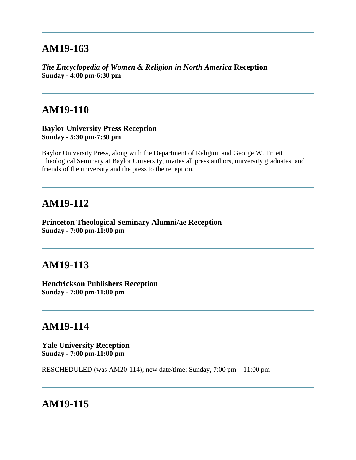*The Encyclopedia of Women & Religion in North America* **Reception Sunday - 4:00 pm-6:30 pm**

### **AM19-110**

**Baylor University Press Reception Sunday - 5:30 pm-7:30 pm**

Baylor University Press, along with the Department of Religion and George W. Truett Theological Seminary at Baylor University, invites all press authors, university graduates, and friends of the university and the press to the reception.

### **AM19-112**

**Princeton Theological Seminary Alumni/ae Reception Sunday - 7:00 pm-11:00 pm**

## **AM19-113**

**Hendrickson Publishers Reception Sunday - 7:00 pm-11:00 pm**

## **AM19-114**

**Yale University Reception Sunday - 7:00 pm-11:00 pm**

RESCHEDULED (was AM20-114); new date/time: Sunday, 7:00 pm – 11:00 pm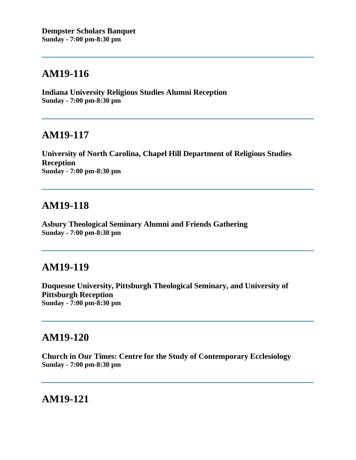**Indiana University Religious Studies Alumni Reception Sunday - 7:00 pm-8:30 pm**

### **AM19-117**

**University of North Carolina, Chapel Hill Department of Religious Studies Reception Sunday - 7:00 pm-8:30 pm**

## **AM19-118**

**Asbury Theological Seminary Alumni and Friends Gathering Sunday - 7:00 pm-8:30 pm**

## **AM19-119**

**Duquesne University, Pittsburgh Theological Seminary, and University of Pittsburgh Reception Sunday - 7:00 pm-8:30 pm**

### **AM19-120**

**Church in Our Times: Centre for the Study of Contemporary Ecclesiology Sunday - 7:00 pm-8:30 pm**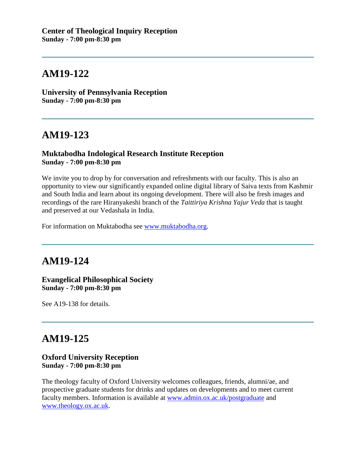**University of Pennsylvania Reception Sunday - 7:00 pm-8:30 pm**

## **AM19-123**

#### **Muktabodha Indological Research Institute Reception Sunday - 7:00 pm-8:30 pm**

We invite you to drop by for conversation and refreshments with our faculty. This is also an opportunity to view our significantly expanded online digital library of Saiva texts from Kashmir and South India and learn about its ongoing development. There will also be fresh images and recordings of the rare Hiranyakeshi branch of the *Taittiriya Krishna Yajur Veda* that is taught and preserved at our Vedashala in India.

For information on Muktabodha see [www.muktabodha.org.](http://www.muktabodha.org/)

# **AM19-124**

#### **Evangelical Philosophical Society Sunday - 7:00 pm-8:30 pm**

See A19-138 for details.

# **AM19-125**

#### **Oxford University Reception Sunday - 7:00 pm-8:30 pm**

The theology faculty of Oxford University welcomes colleagues, friends, alumni/ae, and prospective graduate students for drinks and updates on developments and to meet current faculty members. Information is available at [www.admin.ox.ac.uk/postgraduate](http://www.admin.ox.ac.uk/postgraduate) and [www.theology.ox.ac.uk.](http://www.theology.ox.ac.uk/)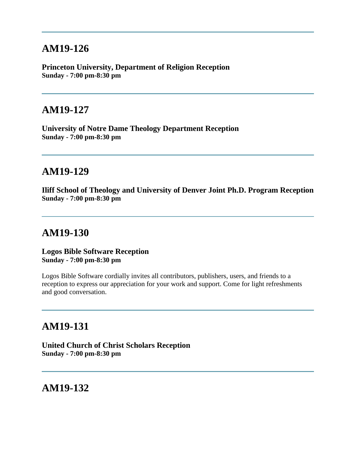**Princeton University, Department of Religion Reception Sunday - 7:00 pm-8:30 pm**

## **AM19-127**

**University of Notre Dame Theology Department Reception Sunday - 7:00 pm-8:30 pm**

### **AM19-129**

**Iliff School of Theology and University of Denver Joint Ph.D. Program Reception Sunday - 7:00 pm-8:30 pm**

## **AM19-130**

**Logos Bible Software Reception Sunday - 7:00 pm-8:30 pm**

Logos Bible Software cordially invites all contributors, publishers, users, and friends to a reception to express our appreciation for your work and support. Come for light refreshments and good conversation.

### **AM19-131**

**United Church of Christ Scholars Reception Sunday - 7:00 pm-8:30 pm**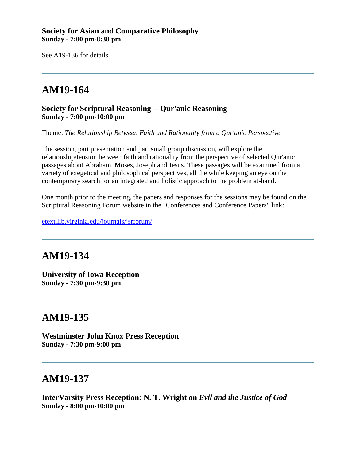#### **Society for Asian and Comparative Philosophy Sunday - 7:00 pm-8:30 pm**

See A19-136 for details.

# **AM19-164**

#### **Society for Scriptural Reasoning -- Qur'anic Reasoning Sunday - 7:00 pm-10:00 pm**

Theme: *The Relationship Between Faith and Rationality from a Qur'anic Perspective*

The session, part presentation and part small group discussion, will explore the relationship/tension between faith and rationality from the perspective of selected Qur'anic passages about Abraham, Moses, Joseph and Jesus. These passages will be examined from a variety of exegetical and philosophical perspectives, all the while keeping an eye on the contemporary search for an integrated and holistic approach to the problem at-hand.

One month prior to the meeting, the papers and responses for the sessions may be found on the Scriptural Reasoning Forum website in the "Conferences and Conference Papers" link:

[etext.lib.virginia.edu/journals/jsrforum/](http://etext.lib.virginia.edu/journals/jsrforum/)

## **AM19-134**

**University of Iowa Reception Sunday - 7:30 pm-9:30 pm**

### **AM19-135**

**Westminster John Knox Press Reception Sunday - 7:30 pm-9:00 pm**

### **AM19-137**

**InterVarsity Press Reception: N. T. Wright on** *Evil and the Justice of God* **Sunday - 8:00 pm-10:00 pm**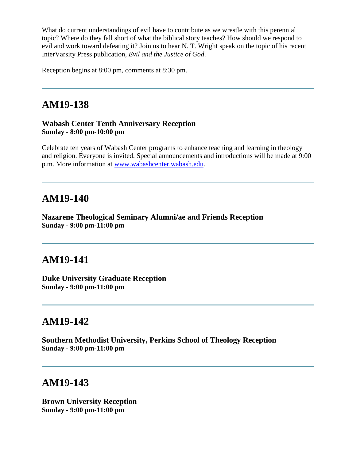What do current understandings of evil have to contribute as we wrestle with this perennial topic? Where do they fall short of what the biblical story teaches? How should we respond to evil and work toward defeating it? Join us to hear N. T. Wright speak on the topic of his recent InterVarsity Press publication, *Evil and the Justice of God*.

Reception begins at 8:00 pm, comments at 8:30 pm.

## **AM19-138**

#### **Wabash Center Tenth Anniversary Reception Sunday - 8:00 pm-10:00 pm**

Celebrate ten years of Wabash Center programs to enhance teaching and learning in theology and religion. Everyone is invited. Special announcements and introductions will be made at 9:00 p.m. More information at [www.wabashcenter.wabash.edu.](http://www.wabashcenter.wabash.edu/)

### **AM19-140**

**Nazarene Theological Seminary Alumni/ae and Friends Reception Sunday - 9:00 pm-11:00 pm**

### **AM19-141**

**Duke University Graduate Reception Sunday - 9:00 pm-11:00 pm**

### **AM19-142**

**Southern Methodist University, Perkins School of Theology Reception Sunday - 9:00 pm-11:00 pm**

### **AM19-143**

**Brown University Reception Sunday - 9:00 pm-11:00 pm**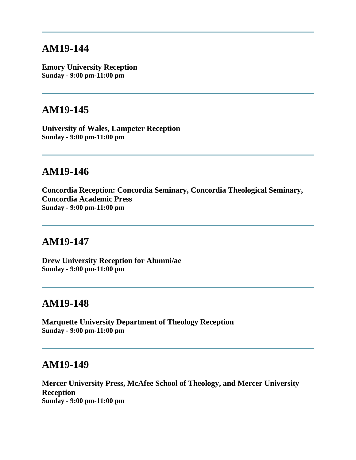**Emory University Reception Sunday - 9:00 pm-11:00 pm**

### **AM19-145**

**University of Wales, Lampeter Reception Sunday - 9:00 pm-11:00 pm**

### **AM19-146**

**Concordia Reception: Concordia Seminary, Concordia Theological Seminary, Concordia Academic Press Sunday - 9:00 pm-11:00 pm**

## **AM19-147**

**Drew University Reception for Alumni/ae Sunday - 9:00 pm-11:00 pm**

### **AM19-148**

**Marquette University Department of Theology Reception Sunday - 9:00 pm-11:00 pm**

#### **AM19-149**

**Mercer University Press, McAfee School of Theology, and Mercer University Reception Sunday - 9:00 pm-11:00 pm**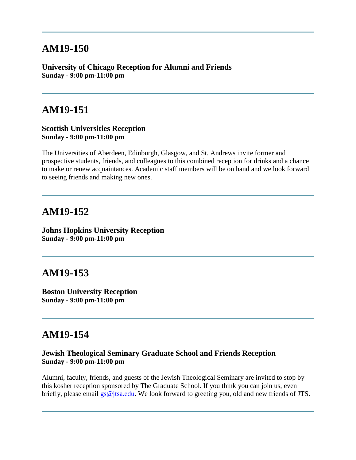**University of Chicago Reception for Alumni and Friends Sunday - 9:00 pm-11:00 pm**

### **AM19-151**

#### **Scottish Universities Reception Sunday - 9:00 pm-11:00 pm**

The Universities of Aberdeen, Edinburgh, Glasgow, and St. Andrews invite former and prospective students, friends, and colleagues to this combined reception for drinks and a chance to make or renew acquaintances. Academic staff members will be on hand and we look forward to seeing friends and making new ones.

### **AM19-152**

**Johns Hopkins University Reception Sunday - 9:00 pm-11:00 pm**

## **AM19-153**

**Boston University Reception Sunday - 9:00 pm-11:00 pm**

### **AM19-154**

#### **Jewish Theological Seminary Graduate School and Friends Reception Sunday - 9:00 pm-11:00 pm**

Alumni, faculty, friends, and guests of the Jewish Theological Seminary are invited to stop by this kosher reception sponsored by The Graduate School. If you think you can join us, even briefly, please email [gs@jtsa.edu.](mailto:gs@jtsa.edu) We look forward to greeting you, old and new friends of JTS.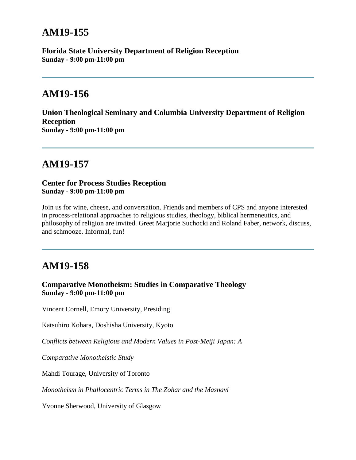**Florida State University Department of Religion Reception Sunday - 9:00 pm-11:00 pm**

## **AM19-156**

**Union Theological Seminary and Columbia University Department of Religion Reception Sunday - 9:00 pm-11:00 pm**

## **AM19-157**

**Center for Process Studies Reception Sunday - 9:00 pm-11:00 pm**

Join us for wine, cheese, and conversation. Friends and members of CPS and anyone interested in process-relational approaches to religious studies, theology, biblical hermeneutics, and philosophy of religion are invited. Greet Marjorie Suchocki and Roland Faber, network, discuss, and schmooze. Informal, fun!

# **AM19-158**

#### **Comparative Monotheism: Studies in Comparative Theology Sunday - 9:00 pm-11:00 pm**

Vincent Cornell, Emory University, Presiding

Katsuhiro Kohara, Doshisha University, Kyoto

*Conflicts between Religious and Modern Values in Post-Meiji Japan: A* 

*Comparative Monotheistic Study*

Mahdi Tourage, University of Toronto

*Monotheism in Phallocentric Terms in The Zohar and the Masnavi*

Yvonne Sherwood, University of Glasgow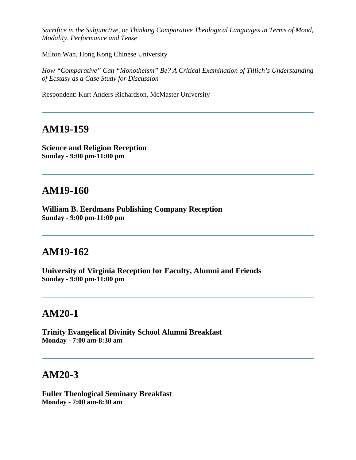*Sacrifice in the Subjunctive, or Thinking Comparative Theological Languages in Terms of Mood, Modality, Performance and Tense*

Milton Wan, Hong Kong Chinese University

*How "Comparative" Can "Monotheism" Be? A Critical Examination of Tillich's Understanding of Ecstasy as a Case Study for Discussion*

Respondent: Kurt Anders Richardson, McMaster University

### **AM19-159**

**Science and Religion Reception Sunday - 9:00 pm-11:00 pm**

## **AM19-160**

**William B. Eerdmans Publishing Company Reception Sunday - 9:00 pm-11:00 pm**

### **AM19-162**

**University of Virginia Reception for Faculty, Alumni and Friends Sunday - 9:00 pm-11:00 pm**

## **AM20-1**

**Trinity Evangelical Divinity School Alumni Breakfast Monday - 7:00 am-8:30 am**

### **AM20-3**

**Fuller Theological Seminary Breakfast Monday - 7:00 am-8:30 am**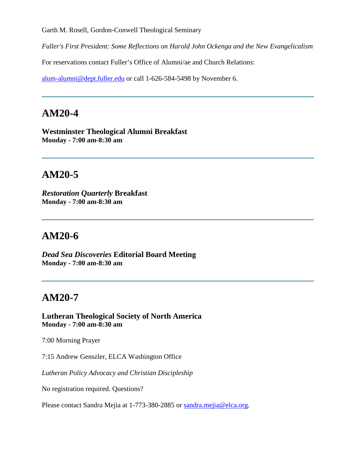Garth M. Rosell, Gordon-Conwell Theological Seminary

*Fuller's First President: Some Reflections on Harold John Ockenga and the New Evangelicalism*

For reservations contact Fuller's Office of Alumni/ae and Church Relations:

[alum-alumni@dept.fuller.edu](mailto:alum-alumni@dept.fuller.edu) or call 1-626-584-5498 by November 6.

# **AM20-4**

**Westminster Theological Alumni Breakfast Monday - 7:00 am-8:30 am**

# **AM20-5**

*Restoration Quarterly* **Breakfast Monday - 7:00 am-8:30 am**

## **AM20-6**

*Dead Sea Discoveries* **Editorial Board Meeting Monday - 7:00 am-8:30 am**

## **AM20-7**

**Lutheran Theological Society of North America Monday - 7:00 am-8:30 am**

7:00 Morning Prayer

7:15 Andrew Genszler, ELCA Washington Office

*Lutheran Policy Advocacy and Christian Discipleship*

No registration required. Questions?

Please contact Sandra Mejia at 1-773-380-2885 or [sandra.mejia@elca.org.](mailto:sandra.mejia@elca.org)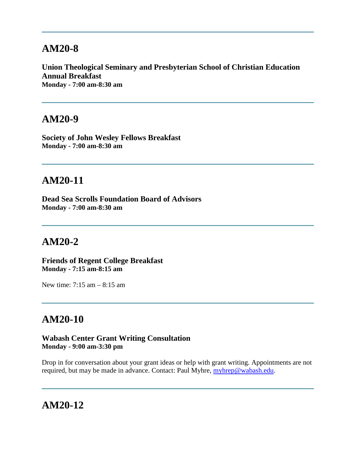## **AM20-8**

**Union Theological Seminary and Presbyterian School of Christian Education Annual Breakfast Monday - 7:00 am-8:30 am**

### **AM20-9**

**Society of John Wesley Fellows Breakfast Monday - 7:00 am-8:30 am**

## **AM20-11**

**Dead Sea Scrolls Foundation Board of Advisors Monday - 7:00 am-8:30 am**

## **AM20-2**

**Friends of Regent College Breakfast Monday - 7:15 am-8:15 am**

New time: 7:15 am – 8:15 am

# **AM20-10**

**Wabash Center Grant Writing Consultation Monday - 9:00 am-3:30 pm**

Drop in for conversation about your grant ideas or help with grant writing. Appointments are not required, but may be made in advance. Contact: Paul Myhre, [myhrep@wabash.edu.](mailto:myhrep@wabash.edu)

## **AM20-12**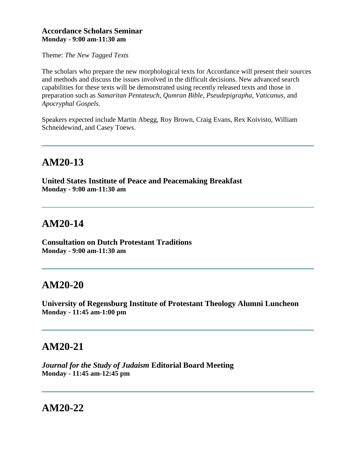#### **Accordance Scholars Seminar Monday - 9:00 am-11:30 am**

Theme: *The New Tagged Texts*

The scholars who prepare the new morphological texts for Accordance will present their sources and methods and discuss the issues involved in the difficult decisions. New advanced search capabilities for these texts will be demonstrated using recently released texts and those in preparation such as *Samaritan Pentateuch, Qumran Bible, Pseudepigrapha, Vaticanus*, and *Apocryphal Gospels*.

Speakers expected include Martin Abegg, Roy Brown, Craig Evans, Rex Koivisto, William Schneidewind, and Casey Toews.

# **AM20-13**

**United States Institute of Peace and Peacemaking Breakfast Monday - 9:00 am-11:30 am**

# **AM20-14**

**Consultation on Dutch Protestant Traditions Monday - 9:00 am-11:30 am**

# **AM20-20**

**University of Regensburg Institute of Protestant Theology Alumni Luncheon Monday - 11:45 am-1:00 pm**

# **AM20-21**

*Journal for the Study of Judaism* **Editorial Board Meeting Monday - 11:45 am-12:45 pm**

### **AM20-22**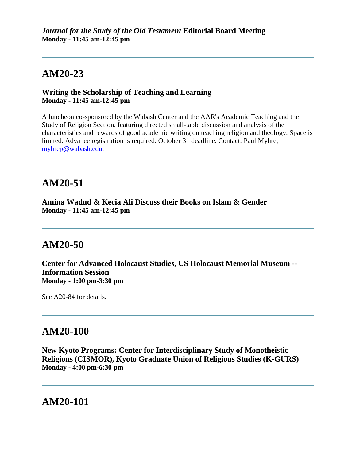# **AM20-23**

#### **Writing the Scholarship of Teaching and Learning Monday - 11:45 am-12:45 pm**

A luncheon co-sponsored by the Wabash Center and the AAR's Academic Teaching and the Study of Religion Section, featuring directed small-table discussion and analysis of the characteristics and rewards of good academic writing on teaching religion and theology. Space is limited. Advance registration is required. October 31 deadline. Contact: Paul Myhre, [myhrep@wabash.edu.](mailto:myhrep@wabash.edu)

# **AM20-51**

**Amina Wadud & Kecia Ali Discuss their Books on Islam & Gender Monday - 11:45 am-12:45 pm**

## **AM20-50**

**Center for Advanced Holocaust Studies, US Holocaust Memorial Museum -- Information Session Monday - 1:00 pm-3:30 pm**

See A20-84 for details.

### **AM20-100**

**New Kyoto Programs: Center for Interdisciplinary Study of Monotheistic Religions (CISMOR), Kyoto Graduate Union of Religious Studies (K-GURS) Monday - 4:00 pm-6:30 pm**

## **AM20-101**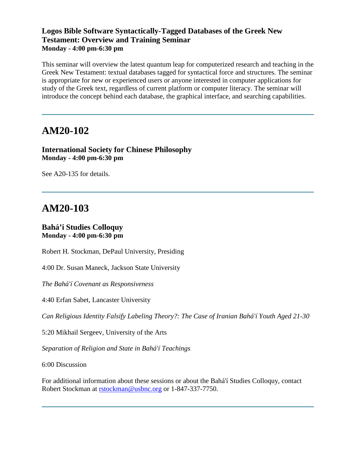#### **Logos Bible Software Syntactically-Tagged Databases of the Greek New Testament: Overview and Training Seminar Monday - 4:00 pm-6:30 pm**

This seminar will overview the latest quantum leap for computerized research and teaching in the Greek New Testament: textual databases tagged for syntactical force and structures. The seminar is appropriate for new or experienced users or anyone interested in computer applications for study of the Greek text, regardless of current platform or computer literacy. The seminar will introduce the concept behind each database, the graphical interface, and searching capabilities.

### **AM20-102**

**International Society for Chinese Philosophy Monday - 4:00 pm-6:30 pm**

See A20-135 for details.

# **AM20-103**

#### **Bahá'i Studies Colloquy Monday - 4:00 pm-6:30 pm**

Robert H. Stockman, DePaul University, Presiding

4:00 Dr. Susan Maneck, Jackson State University

*The Bahá'í Covenant as Responsiveness*

4:40 Erfan Sabet, Lancaster University

*Can Religious Identity Falsify Labeling Theory?: The Case of Iranian Bahá'í Youth Aged 21-30*

5:20 Mikhail Sergeev, University of the Arts

*Separation of Religion and State in Bahá'í Teachings*

6:00 Discussion

For additional information about these sessions or about the Bahá'í Studies Colloquy, contact Robert Stockman at [rstockman@usbnc.org](mailto:rstockman@usbnc.org) or 1-847-337-7750.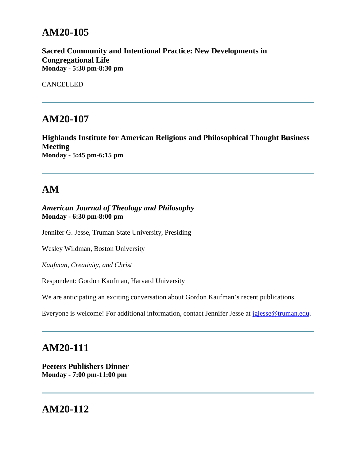# **AM20-105**

**Sacred Community and Intentional Practice: New Developments in Congregational Life Monday - 5:30 pm-8:30 pm**

CANCELLED

### **AM20-107**

**Highlands Institute for American Religious and Philosophical Thought Business Meeting Monday - 5:45 pm-6:15 pm**

# **AM**

*American Journal of Theology and Philosophy* **Monday - 6:30 pm-8:00 pm**

Jennifer G. Jesse, Truman State University, Presiding

Wesley Wildman, Boston University

*Kaufman, Creativity, and Christ*

Respondent: Gordon Kaufman, Harvard University

We are anticipating an exciting conversation about Gordon Kaufman's recent publications.

Everyone is welcome! For additional information, contact Jennifer Jesse at [jgjesse@truman.edu.](mailto:jgjesse@truman.edu)

### **AM20-111**

**Peeters Publishers Dinner Monday - 7:00 pm-11:00 pm**

## **AM20-112**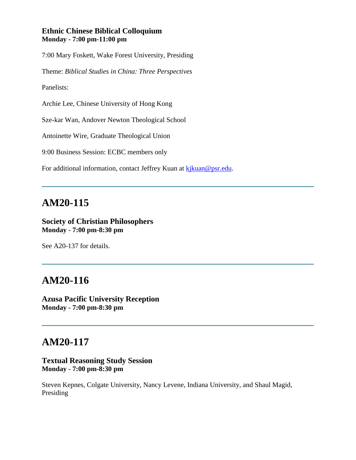#### **Ethnic Chinese Biblical Colloquium Monday - 7:00 pm-11:00 pm**

7:00 Mary Foskett, Wake Forest University, Presiding

Theme: *Biblical Studies in China: Three Perspectives*

Panelists:

Archie Lee, Chinese University of Hong Kong

Sze-kar Wan, Andover Newton Theological School

Antoinette Wire, Graduate Theological Union

9:00 Business Session: ECBC members only

For additional information, contact Jeffrey Kuan at [kjkuan@psr.edu.](mailto:kjkuan@psr.edu)

#### **AM20-115**

#### **Society of Christian Philosophers Monday - 7:00 pm-8:30 pm**

See A20-137 for details.

### **AM20-116**

**Azusa Pacific University Reception Monday - 7:00 pm-8:30 pm**

# **AM20-117**

#### **Textual Reasoning Study Session Monday - 7:00 pm-8:30 pm**

Steven Kepnes, Colgate University, Nancy Levene, Indiana University, and Shaul Magid, Presiding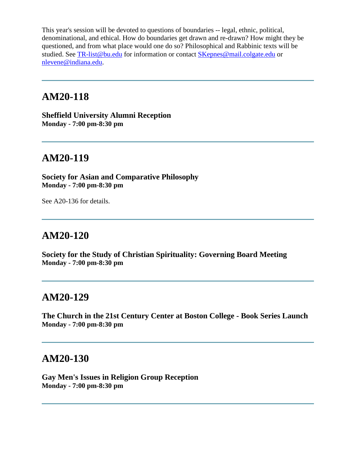This year's session will be devoted to questions of boundaries -- legal, ethnic, political, denominational, and ethical. How do boundaries get drawn and re-drawn? How might they be questioned, and from what place would one do so? Philosophical and Rabbinic texts will be studied. See [TR-list@bu.edu](mailto:TR-list@bu.edu) for information or contact [SKepnes@mail.colgate.edu](mailto:SKepnes@mail.colgate.edu) or [nlevene@indiana.edu.](mailto:nlevene@indiana.edu)

#### **AM20-118**

**Sheffield University Alumni Reception Monday - 7:00 pm-8:30 pm**

#### **AM20-119**

**Society for Asian and Comparative Philosophy Monday - 7:00 pm-8:30 pm**

See A20-136 for details.

### **AM20-120**

**Society for the Study of Christian Spirituality: Governing Board Meeting Monday - 7:00 pm-8:30 pm**

#### **AM20-129**

**The Church in the 21st Century Center at Boston College - Book Series Launch Monday - 7:00 pm-8:30 pm**

#### **AM20-130**

**Gay Men's Issues in Religion Group Reception Monday - 7:00 pm-8:30 pm**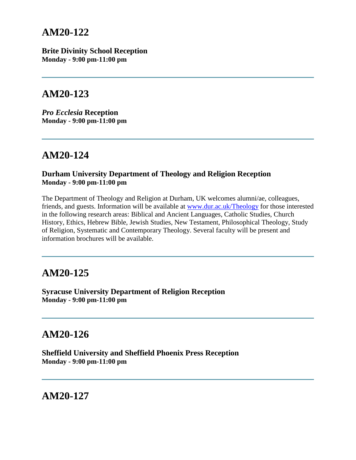### **AM20-122**

**Brite Divinity School Reception Monday - 9:00 pm-11:00 pm**

### **AM20-123**

*Pro Ecclesia* **Reception Monday - 9:00 pm-11:00 pm**

# **AM20-124**

#### **Durham University Department of Theology and Religion Reception Monday - 9:00 pm-11:00 pm**

The Department of Theology and Religion at Durham, UK welcomes alumni/ae, colleagues, friends, and guests. Information will be available at [www.dur.ac.uk/Theology](http://www.dur.ac.uk/Theology) for those interested in the following research areas: Biblical and Ancient Languages, Catholic Studies, Church History, Ethics, Hebrew Bible, Jewish Studies, New Testament, Philosophical Theology, Study of Religion, Systematic and Contemporary Theology. Several faculty will be present and information brochures will be available.

### **AM20-125**

**Syracuse University Department of Religion Reception Monday - 9:00 pm-11:00 pm**

## **AM20-126**

**Sheffield University and Sheffield Phoenix Press Reception Monday - 9:00 pm-11:00 pm**

**AM20-127**